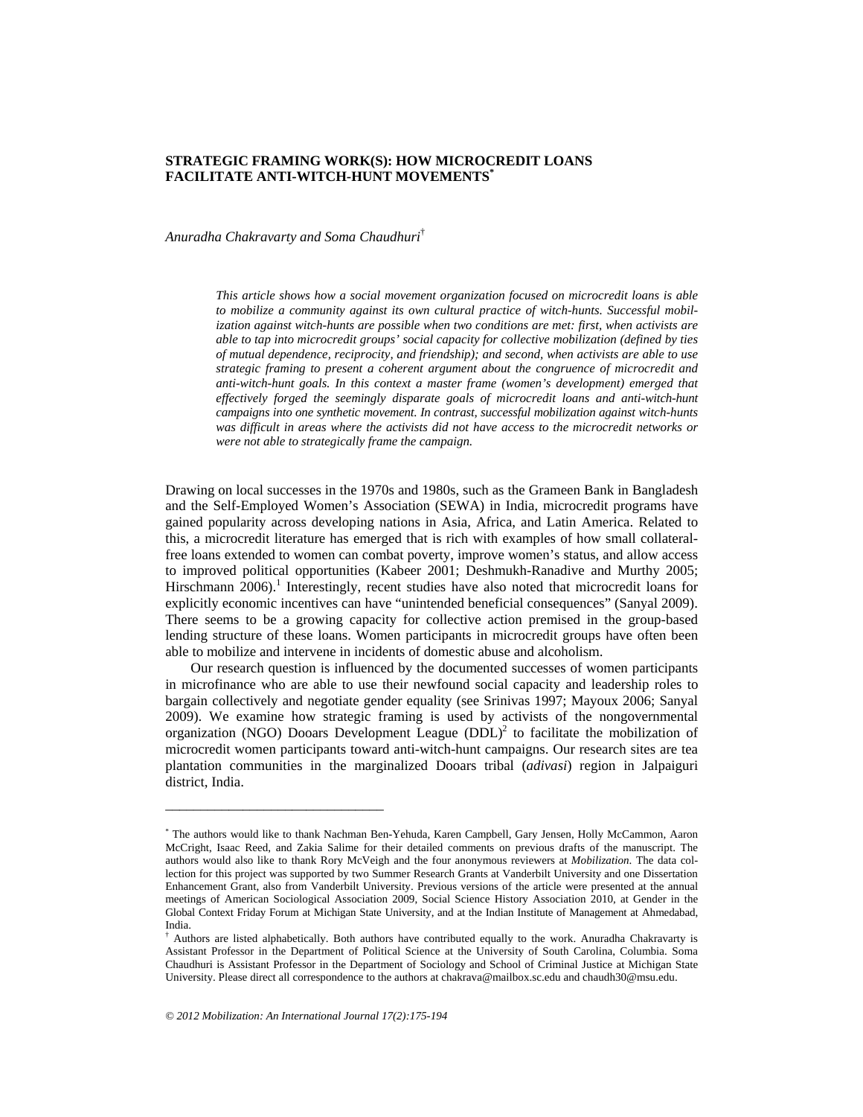# **STRATEGIC FRAMING WORK(S): HOW MICROCREDIT LOANS FACILITATE ANTI-WITCH-HUNT MOVEMENTS\***

*Anuradha Chakravarty and Soma Chaudhuri*†

*This article shows how a social movement organization focused on microcredit loans is able to mobilize a community against its own cultural practice of witch-hunts. Successful mobilization against witch-hunts are possible when two conditions are met: first, when activists are able to tap into microcredit groups' social capacity for collective mobilization (defined by ties of mutual dependence, reciprocity, and friendship); and second, when activists are able to use strategic framing to present a coherent argument about the congruence of microcredit and anti-witch-hunt goals. In this context a master frame (women's development) emerged that effectively forged the seemingly disparate goals of microcredit loans and anti-witch-hunt campaigns into one synthetic movement. In contrast, successful mobilization against witch-hunts was difficult in areas where the activists did not have access to the microcredit networks or were not able to strategically frame the campaign.* 

Drawing on local successes in the 1970s and 1980s, such as the Grameen Bank in Bangladesh and the Self-Employed Women's Association (SEWA) in India, microcredit programs have gained popularity across developing nations in Asia, Africa, and Latin America. Related to this, a microcredit literature has emerged that is rich with examples of how small collateralfree loans extended to women can combat poverty, improve women's status, and allow access to improved political opportunities (Kabeer 2001; Deshmukh-Ranadive and Murthy 2005; Hirschmann 2006).<sup>1</sup> Interestingly, recent studies have also noted that microcredit loans for explicitly economic incentives can have "unintended beneficial consequences" (Sanyal 2009). There seems to be a growing capacity for collective action premised in the group-based lending structure of these loans. Women participants in microcredit groups have often been able to mobilize and intervene in incidents of domestic abuse and alcoholism.

Our research question is influenced by the documented successes of women participants in microfinance who are able to use their newfound social capacity and leadership roles to bargain collectively and negotiate gender equality (see Srinivas 1997; Mayoux 2006; Sanyal 2009). We examine how strategic framing is used by activists of the nongovernmental organization (NGO) Dooars Development League  $(DDL)^2$  to facilitate the mobilization of microcredit women participants toward anti-witch-hunt campaigns. Our research sites are tea plantation communities in the marginalized Dooars tribal (*adivasi*) region in Jalpaiguri district, India.

\_\_\_\_\_\_\_\_\_\_\_\_\_\_\_\_\_\_\_\_\_\_\_\_\_\_\_\_\_\_\_

<sup>\*</sup> The authors would like to thank Nachman Ben-Yehuda, Karen Campbell, Gary Jensen, Holly McCammon, Aaron McCright, Isaac Reed, and Zakia Salime for their detailed comments on previous drafts of the manuscript. The authors would also like to thank Rory McVeigh and the four anonymous reviewers at *Mobilization*. The data collection for this project was supported by two Summer Research Grants at Vanderbilt University and one Dissertation Enhancement Grant, also from Vanderbilt University. Previous versions of the article were presented at the annual meetings of American Sociological Association 2009, Social Science History Association 2010, at Gender in the Global Context Friday Forum at Michigan State University, and at the Indian Institute of Management at Ahmedabad, India.

<sup>†</sup> Authors are listed alphabetically. Both authors have contributed equally to the work. Anuradha Chakravarty is Assistant Professor in the Department of Political Science at the University of South Carolina, Columbia. Soma Chaudhuri is Assistant Professor in the Department of Sociology and School of Criminal Justice at Michigan State University. Please direct all correspondence to the authors at chakrava@mailbox.sc.edu and chaudh30@msu.edu.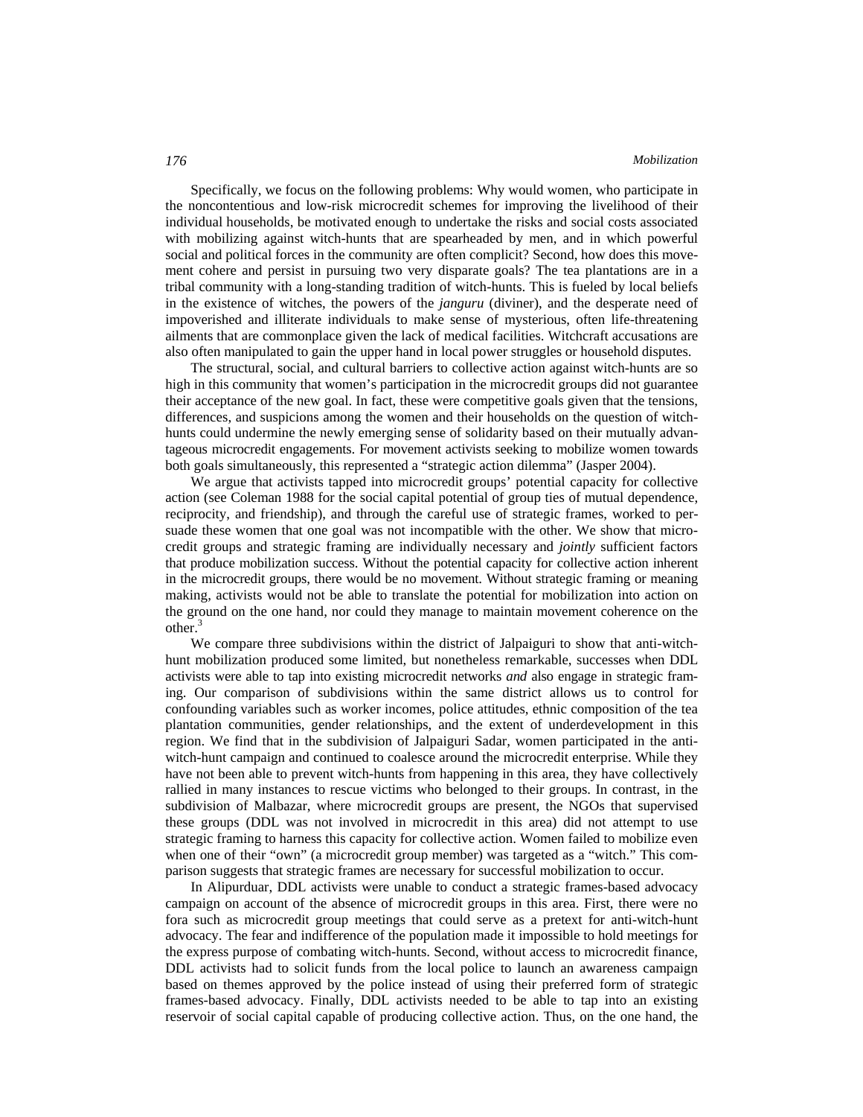Specifically, we focus on the following problems: Why would women, who participate in the noncontentious and low-risk microcredit schemes for improving the livelihood of their individual households, be motivated enough to undertake the risks and social costs associated with mobilizing against witch-hunts that are spearheaded by men, and in which powerful social and political forces in the community are often complicit? Second, how does this movement cohere and persist in pursuing two very disparate goals? The tea plantations are in a tribal community with a long-standing tradition of witch-hunts. This is fueled by local beliefs in the existence of witches, the powers of the *janguru* (diviner), and the desperate need of impoverished and illiterate individuals to make sense of mysterious, often life-threatening ailments that are commonplace given the lack of medical facilities. Witchcraft accusations are also often manipulated to gain the upper hand in local power struggles or household disputes.

The structural, social, and cultural barriers to collective action against witch-hunts are so high in this community that women's participation in the microcredit groups did not guarantee their acceptance of the new goal. In fact, these were competitive goals given that the tensions, differences, and suspicions among the women and their households on the question of witchhunts could undermine the newly emerging sense of solidarity based on their mutually advantageous microcredit engagements. For movement activists seeking to mobilize women towards both goals simultaneously, this represented a "strategic action dilemma" (Jasper 2004).

We argue that activists tapped into microcredit groups' potential capacity for collective action (see Coleman 1988 for the social capital potential of group ties of mutual dependence, reciprocity, and friendship), and through the careful use of strategic frames, worked to persuade these women that one goal was not incompatible with the other. We show that microcredit groups and strategic framing are individually necessary and *jointly* sufficient factors that produce mobilization success. Without the potential capacity for collective action inherent in the microcredit groups, there would be no movement. Without strategic framing or meaning making, activists would not be able to translate the potential for mobilization into action on the ground on the one hand, nor could they manage to maintain movement coherence on the other.<sup>3</sup>

We compare three subdivisions within the district of Jalpaiguri to show that anti-witchhunt mobilization produced some limited, but nonetheless remarkable, successes when DDL activists were able to tap into existing microcredit networks *and* also engage in strategic framing. Our comparison of subdivisions within the same district allows us to control for confounding variables such as worker incomes, police attitudes, ethnic composition of the tea plantation communities, gender relationships, and the extent of underdevelopment in this region. We find that in the subdivision of Jalpaiguri Sadar, women participated in the antiwitch-hunt campaign and continued to coalesce around the microcredit enterprise. While they have not been able to prevent witch-hunts from happening in this area, they have collectively rallied in many instances to rescue victims who belonged to their groups. In contrast, in the subdivision of Malbazar, where microcredit groups are present, the NGOs that supervised these groups (DDL was not involved in microcredit in this area) did not attempt to use strategic framing to harness this capacity for collective action. Women failed to mobilize even when one of their "own" (a microcredit group member) was targeted as a "witch." This comparison suggests that strategic frames are necessary for successful mobilization to occur.

In Alipurduar, DDL activists were unable to conduct a strategic frames-based advocacy campaign on account of the absence of microcredit groups in this area. First, there were no fora such as microcredit group meetings that could serve as a pretext for anti-witch-hunt advocacy. The fear and indifference of the population made it impossible to hold meetings for the express purpose of combating witch-hunts. Second, without access to microcredit finance, DDL activists had to solicit funds from the local police to launch an awareness campaign based on themes approved by the police instead of using their preferred form of strategic frames-based advocacy. Finally, DDL activists needed to be able to tap into an existing reservoir of social capital capable of producing collective action. Thus, on the one hand, the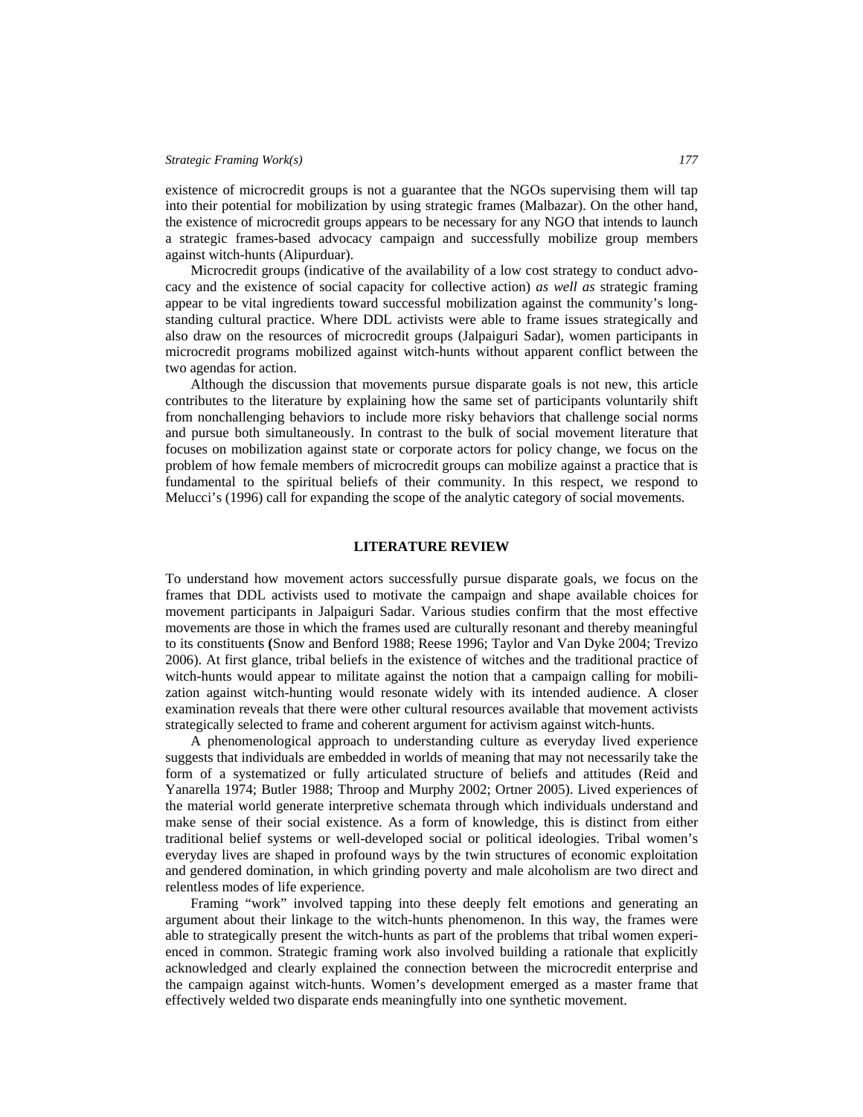existence of microcredit groups is not a guarantee that the NGOs supervising them will tap into their potential for mobilization by using strategic frames (Malbazar). On the other hand, the existence of microcredit groups appears to be necessary for any NGO that intends to launch a strategic frames-based advocacy campaign and successfully mobilize group members against witch-hunts (Alipurduar).

Microcredit groups (indicative of the availability of a low cost strategy to conduct advocacy and the existence of social capacity for collective action) *as well as* strategic framing appear to be vital ingredients toward successful mobilization against the community's longstanding cultural practice. Where DDL activists were able to frame issues strategically and also draw on the resources of microcredit groups (Jalpaiguri Sadar), women participants in microcredit programs mobilized against witch-hunts without apparent conflict between the two agendas for action.

Although the discussion that movements pursue disparate goals is not new, this article contributes to the literature by explaining how the same set of participants voluntarily shift from nonchallenging behaviors to include more risky behaviors that challenge social norms and pursue both simultaneously. In contrast to the bulk of social movement literature that focuses on mobilization against state or corporate actors for policy change, we focus on the problem of how female members of microcredit groups can mobilize against a practice that is fundamental to the spiritual beliefs of their community. In this respect, we respond to Melucci's (1996) call for expanding the scope of the analytic category of social movements.

### **LITERATURE REVIEW**

To understand how movement actors successfully pursue disparate goals, we focus on the frames that DDL activists used to motivate the campaign and shape available choices for movement participants in Jalpaiguri Sadar. Various studies confirm that the most effective movements are those in which the frames used are culturally resonant and thereby meaningful to its constituents **(**Snow and Benford 1988; Reese 1996; Taylor and Van Dyke 2004; Trevizo 2006). At first glance, tribal beliefs in the existence of witches and the traditional practice of witch-hunts would appear to militate against the notion that a campaign calling for mobilization against witch-hunting would resonate widely with its intended audience. A closer examination reveals that there were other cultural resources available that movement activists strategically selected to frame and coherent argument for activism against witch-hunts.

A phenomenological approach to understanding culture as everyday lived experience suggests that individuals are embedded in worlds of meaning that may not necessarily take the form of a systematized or fully articulated structure of beliefs and attitudes (Reid and Yanarella 1974; Butler 1988; Throop and Murphy 2002; Ortner 2005). Lived experiences of the material world generate interpretive schemata through which individuals understand and make sense of their social existence. As a form of knowledge, this is distinct from either traditional belief systems or well-developed social or political ideologies. Tribal women's everyday lives are shaped in profound ways by the twin structures of economic exploitation and gendered domination, in which grinding poverty and male alcoholism are two direct and relentless modes of life experience.

Framing "work" involved tapping into these deeply felt emotions and generating an argument about their linkage to the witch-hunts phenomenon. In this way, the frames were able to strategically present the witch-hunts as part of the problems that tribal women experienced in common. Strategic framing work also involved building a rationale that explicitly acknowledged and clearly explained the connection between the microcredit enterprise and the campaign against witch-hunts. Women's development emerged as a master frame that effectively welded two disparate ends meaningfully into one synthetic movement.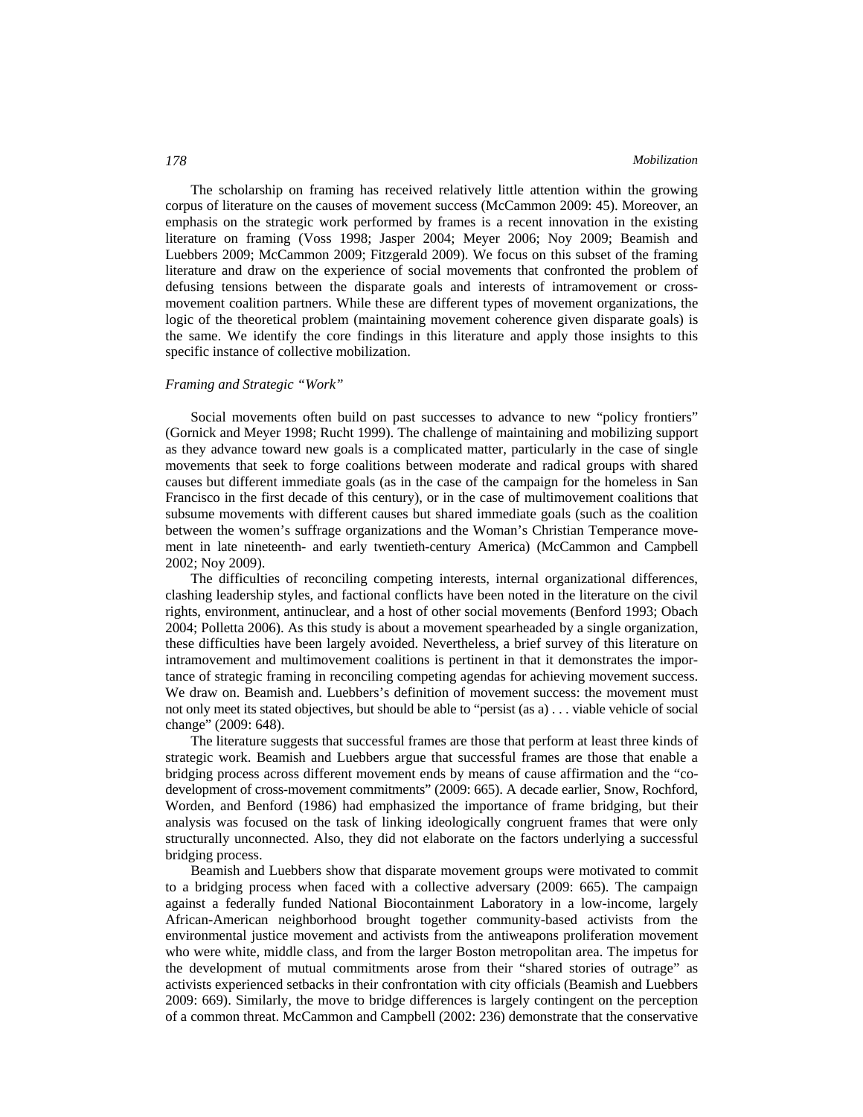The scholarship on framing has received relatively little attention within the growing corpus of literature on the causes of movement success (McCammon 2009: 45). Moreover, an emphasis on the strategic work performed by frames is a recent innovation in the existing literature on framing (Voss 1998; Jasper 2004; Meyer 2006; Noy 2009; Beamish and Luebbers 2009; McCammon 2009; Fitzgerald 2009). We focus on this subset of the framing literature and draw on the experience of social movements that confronted the problem of defusing tensions between the disparate goals and interests of intramovement or crossmovement coalition partners. While these are different types of movement organizations, the logic of the theoretical problem (maintaining movement coherence given disparate goals) is the same. We identify the core findings in this literature and apply those insights to this specific instance of collective mobilization.

### *Framing and Strategic "Work"*

Social movements often build on past successes to advance to new "policy frontiers" (Gornick and Meyer 1998; Rucht 1999). The challenge of maintaining and mobilizing support as they advance toward new goals is a complicated matter, particularly in the case of single movements that seek to forge coalitions between moderate and radical groups with shared causes but different immediate goals (as in the case of the campaign for the homeless in San Francisco in the first decade of this century), or in the case of multimovement coalitions that subsume movements with different causes but shared immediate goals (such as the coalition between the women's suffrage organizations and the Woman's Christian Temperance movement in late nineteenth- and early twentieth-century America) (McCammon and Campbell 2002; Noy 2009).

The difficulties of reconciling competing interests, internal organizational differences, clashing leadership styles, and factional conflicts have been noted in the literature on the civil rights, environment, antinuclear, and a host of other social movements (Benford 1993; Obach 2004; Polletta 2006). As this study is about a movement spearheaded by a single organization, these difficulties have been largely avoided. Nevertheless, a brief survey of this literature on intramovement and multimovement coalitions is pertinent in that it demonstrates the importance of strategic framing in reconciling competing agendas for achieving movement success. We draw on. Beamish and. Luebbers's definition of movement success: the movement must not only meet its stated objectives, but should be able to "persist (as a) . . . viable vehicle of social change" (2009: 648).

The literature suggests that successful frames are those that perform at least three kinds of strategic work. Beamish and Luebbers argue that successful frames are those that enable a bridging process across different movement ends by means of cause affirmation and the "codevelopment of cross-movement commitments" (2009: 665). A decade earlier, Snow, Rochford, Worden, and Benford (1986) had emphasized the importance of frame bridging, but their analysis was focused on the task of linking ideologically congruent frames that were only structurally unconnected. Also, they did not elaborate on the factors underlying a successful bridging process.

Beamish and Luebbers show that disparate movement groups were motivated to commit to a bridging process when faced with a collective adversary (2009: 665). The campaign against a federally funded National Biocontainment Laboratory in a low-income, largely African-American neighborhood brought together community-based activists from the environmental justice movement and activists from the antiweapons proliferation movement who were white, middle class, and from the larger Boston metropolitan area. The impetus for the development of mutual commitments arose from their "shared stories of outrage" as activists experienced setbacks in their confrontation with city officials (Beamish and Luebbers 2009: 669). Similarly, the move to bridge differences is largely contingent on the perception of a common threat. McCammon and Campbell (2002: 236) demonstrate that the conservative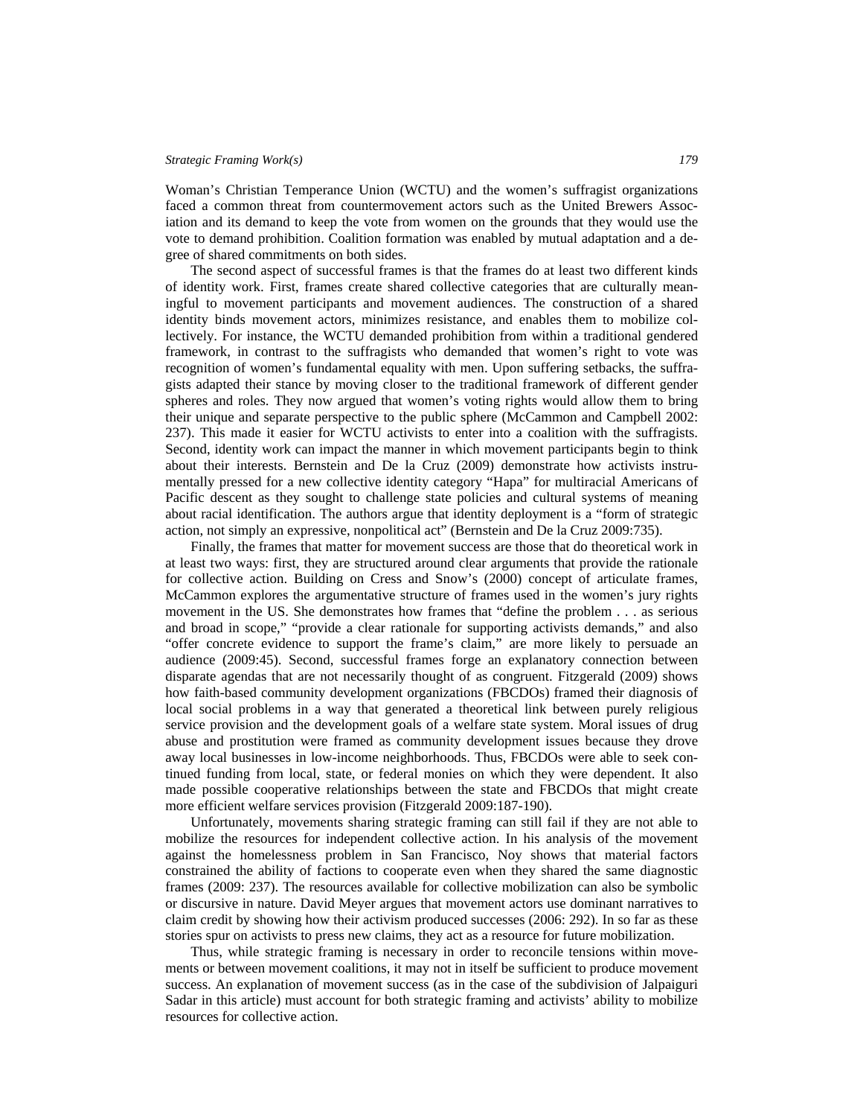Woman's Christian Temperance Union (WCTU) and the women's suffragist organizations faced a common threat from countermovement actors such as the United Brewers Association and its demand to keep the vote from women on the grounds that they would use the vote to demand prohibition. Coalition formation was enabled by mutual adaptation and a degree of shared commitments on both sides.

The second aspect of successful frames is that the frames do at least two different kinds of identity work. First, frames create shared collective categories that are culturally meaningful to movement participants and movement audiences. The construction of a shared identity binds movement actors, minimizes resistance, and enables them to mobilize collectively. For instance, the WCTU demanded prohibition from within a traditional gendered framework, in contrast to the suffragists who demanded that women's right to vote was recognition of women's fundamental equality with men. Upon suffering setbacks, the suffragists adapted their stance by moving closer to the traditional framework of different gender spheres and roles. They now argued that women's voting rights would allow them to bring their unique and separate perspective to the public sphere (McCammon and Campbell 2002: 237). This made it easier for WCTU activists to enter into a coalition with the suffragists. Second, identity work can impact the manner in which movement participants begin to think about their interests. Bernstein and De la Cruz (2009) demonstrate how activists instrumentally pressed for a new collective identity category "Hapa" for multiracial Americans of Pacific descent as they sought to challenge state policies and cultural systems of meaning about racial identification. The authors argue that identity deployment is a "form of strategic action, not simply an expressive, nonpolitical act" (Bernstein and De la Cruz 2009:735).

Finally, the frames that matter for movement success are those that do theoretical work in at least two ways: first, they are structured around clear arguments that provide the rationale for collective action. Building on Cress and Snow's (2000) concept of articulate frames, McCammon explores the argumentative structure of frames used in the women's jury rights movement in the US. She demonstrates how frames that "define the problem . . . as serious and broad in scope," "provide a clear rationale for supporting activists demands," and also "offer concrete evidence to support the frame's claim," are more likely to persuade an audience (2009:45). Second, successful frames forge an explanatory connection between disparate agendas that are not necessarily thought of as congruent. Fitzgerald (2009) shows how faith-based community development organizations (FBCDOs) framed their diagnosis of local social problems in a way that generated a theoretical link between purely religious service provision and the development goals of a welfare state system. Moral issues of drug abuse and prostitution were framed as community development issues because they drove away local businesses in low-income neighborhoods. Thus, FBCDOs were able to seek continued funding from local, state, or federal monies on which they were dependent. It also made possible cooperative relationships between the state and FBCDOs that might create more efficient welfare services provision (Fitzgerald 2009:187-190).

Unfortunately, movements sharing strategic framing can still fail if they are not able to mobilize the resources for independent collective action. In his analysis of the movement against the homelessness problem in San Francisco, Noy shows that material factors constrained the ability of factions to cooperate even when they shared the same diagnostic frames (2009: 237). The resources available for collective mobilization can also be symbolic or discursive in nature. David Meyer argues that movement actors use dominant narratives to claim credit by showing how their activism produced successes (2006: 292). In so far as these stories spur on activists to press new claims, they act as a resource for future mobilization.

Thus, while strategic framing is necessary in order to reconcile tensions within movements or between movement coalitions, it may not in itself be sufficient to produce movement success. An explanation of movement success (as in the case of the subdivision of Jalpaiguri Sadar in this article) must account for both strategic framing and activists' ability to mobilize resources for collective action.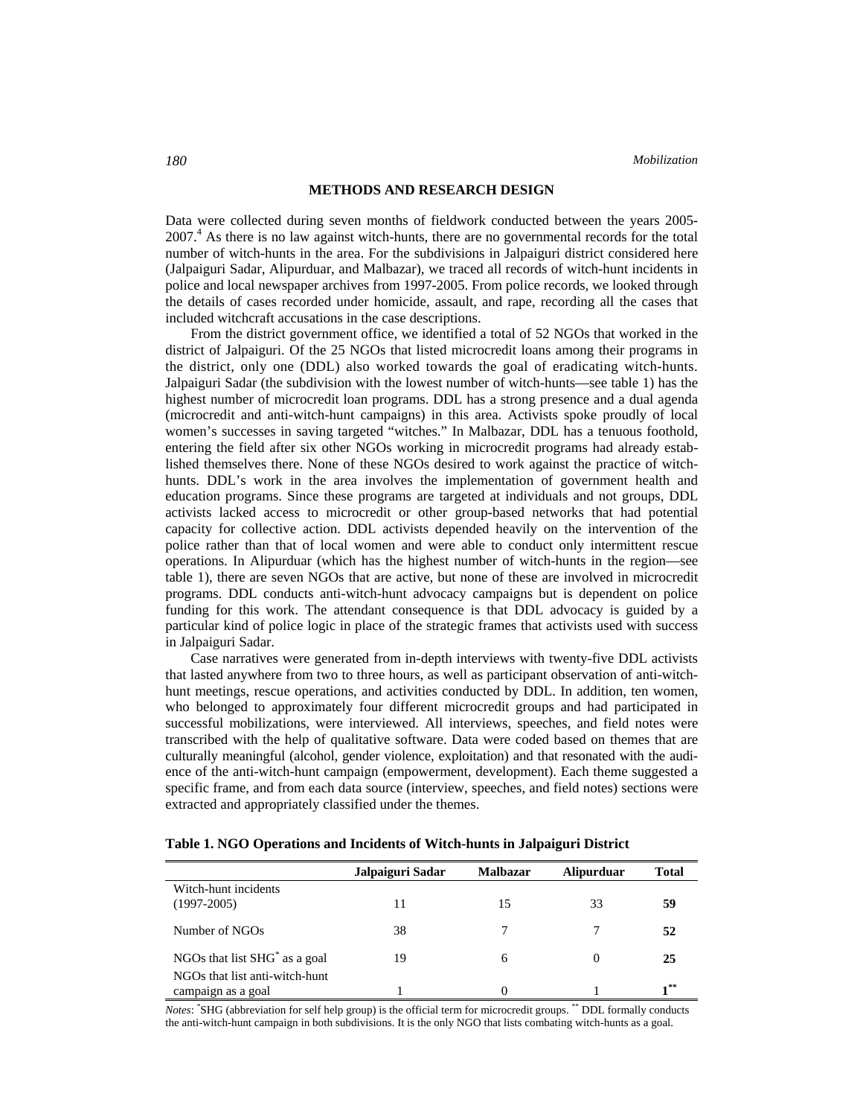## **METHODS AND RESEARCH DESIGN**

Data were collected during seven months of fieldwork conducted between the years 2005- 2007.<sup>4</sup> As there is no law against witch-hunts, there are no governmental records for the total number of witch-hunts in the area. For the subdivisions in Jalpaiguri district considered here (Jalpaiguri Sadar, Alipurduar, and Malbazar), we traced all records of witch-hunt incidents in police and local newspaper archives from 1997-2005. From police records, we looked through the details of cases recorded under homicide, assault, and rape, recording all the cases that included witchcraft accusations in the case descriptions.

From the district government office, we identified a total of 52 NGOs that worked in the district of Jalpaiguri. Of the 25 NGOs that listed microcredit loans among their programs in the district, only one (DDL) also worked towards the goal of eradicating witch-hunts. Jalpaiguri Sadar (the subdivision with the lowest number of witch-hunts—see table 1) has the highest number of microcredit loan programs. DDL has a strong presence and a dual agenda (microcredit and anti-witch-hunt campaigns) in this area. Activists spoke proudly of local women's successes in saving targeted "witches." In Malbazar, DDL has a tenuous foothold, entering the field after six other NGOs working in microcredit programs had already established themselves there. None of these NGOs desired to work against the practice of witchhunts. DDL's work in the area involves the implementation of government health and education programs. Since these programs are targeted at individuals and not groups, DDL activists lacked access to microcredit or other group-based networks that had potential capacity for collective action. DDL activists depended heavily on the intervention of the police rather than that of local women and were able to conduct only intermittent rescue operations. In Alipurduar (which has the highest number of witch-hunts in the region—see table 1), there are seven NGOs that are active, but none of these are involved in microcredit programs. DDL conducts anti-witch-hunt advocacy campaigns but is dependent on police funding for this work. The attendant consequence is that DDL advocacy is guided by a particular kind of police logic in place of the strategic frames that activists used with success in Jalpaiguri Sadar.

Case narratives were generated from in-depth interviews with twenty-five DDL activists that lasted anywhere from two to three hours, as well as participant observation of anti-witchhunt meetings, rescue operations, and activities conducted by DDL. In addition, ten women, who belonged to approximately four different microcredit groups and had participated in successful mobilizations, were interviewed. All interviews, speeches, and field notes were transcribed with the help of qualitative software. Data were coded based on themes that are culturally meaningful (alcohol, gender violence, exploitation) and that resonated with the audience of the anti-witch-hunt campaign (empowerment, development). Each theme suggested a specific frame, and from each data source (interview, speeches, and field notes) sections were extracted and appropriately classified under the themes.

|                                                      | Jalpaiguri Sadar | <b>Malbazar</b> | <b>Alipurduar</b> | <b>Total</b> |
|------------------------------------------------------|------------------|-----------------|-------------------|--------------|
| Witch-hunt incidents<br>$(1997 - 2005)$              | 11               | 15              | 33                | 59           |
| Number of NGOs                                       | 38               | 7               |                   | 52           |
| NGOs that list SHG <sup>*</sup> as a goal            | 19               | 6               |                   | 25           |
| NGOs that list anti-witch-hunt<br>campaign as a goal |                  |                 |                   | -∗*          |

*Notes*: \* SHG (abbreviation for self help group) is the official term for microcredit groups. \*\* DDL formally conducts the anti-witch-hunt campaign in both subdivisions. It is the only NGO that lists combating witch-hunts as a goal.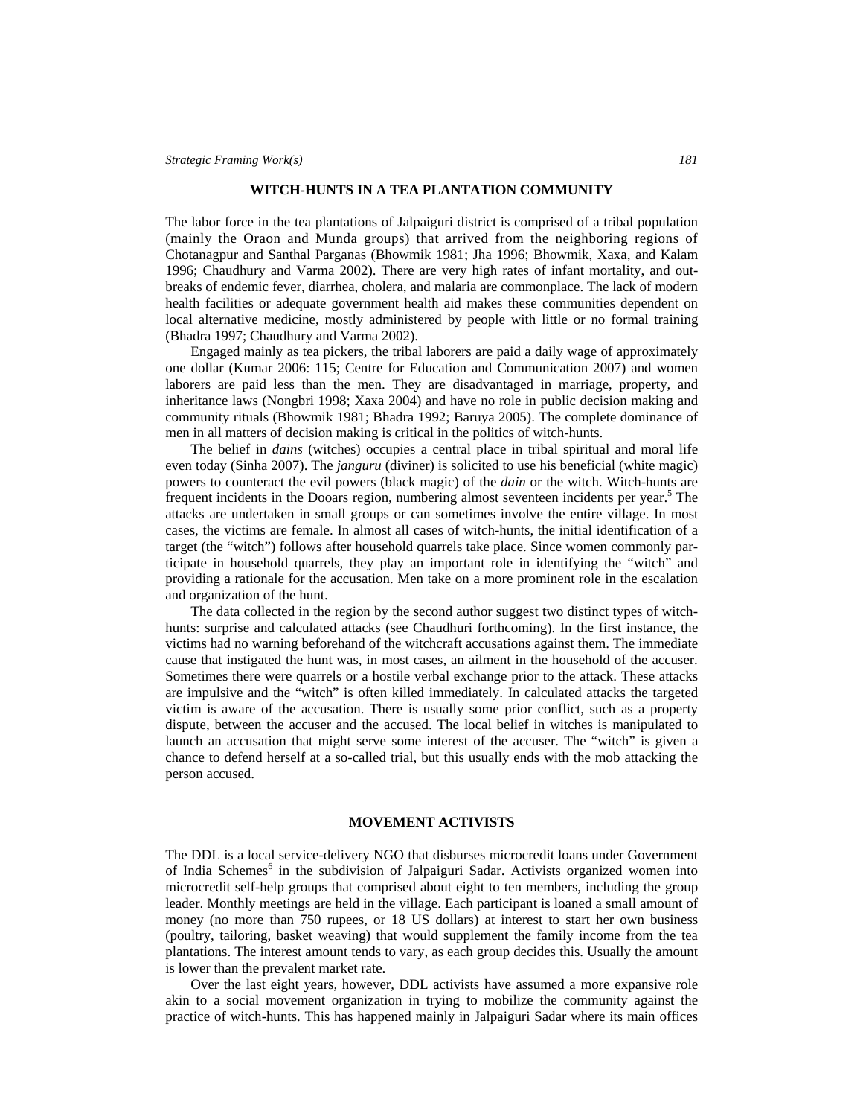### **WITCH-HUNTS IN A TEA PLANTATION COMMUNITY**

The labor force in the tea plantations of Jalpaiguri district is comprised of a tribal population (mainly the Oraon and Munda groups) that arrived from the neighboring regions of Chotanagpur and Santhal Parganas (Bhowmik 1981; Jha 1996; Bhowmik, Xaxa, and Kalam 1996; Chaudhury and Varma 2002). There are very high rates of infant mortality, and outbreaks of endemic fever, diarrhea, cholera, and malaria are commonplace. The lack of modern health facilities or adequate government health aid makes these communities dependent on local alternative medicine, mostly administered by people with little or no formal training (Bhadra 1997; Chaudhury and Varma 2002).

Engaged mainly as tea pickers, the tribal laborers are paid a daily wage of approximately one dollar (Kumar 2006: 115; Centre for Education and Communication 2007) and women laborers are paid less than the men. They are disadvantaged in marriage, property, and inheritance laws (Nongbri 1998; Xaxa 2004) and have no role in public decision making and community rituals (Bhowmik 1981; Bhadra 1992; Baruya 2005). The complete dominance of men in all matters of decision making is critical in the politics of witch-hunts.

The belief in *dains* (witches) occupies a central place in tribal spiritual and moral life even today (Sinha 2007). The *janguru* (diviner) is solicited to use his beneficial (white magic) powers to counteract the evil powers (black magic) of the *dain* or the witch. Witch-hunts are frequent incidents in the Dooars region, numbering almost seventeen incidents per year.<sup>5</sup> The attacks are undertaken in small groups or can sometimes involve the entire village. In most cases, the victims are female. In almost all cases of witch-hunts, the initial identification of a target (the "witch") follows after household quarrels take place. Since women commonly participate in household quarrels, they play an important role in identifying the "witch" and providing a rationale for the accusation. Men take on a more prominent role in the escalation and organization of the hunt.

The data collected in the region by the second author suggest two distinct types of witchhunts: surprise and calculated attacks (see Chaudhuri forthcoming). In the first instance, the victims had no warning beforehand of the witchcraft accusations against them. The immediate cause that instigated the hunt was, in most cases, an ailment in the household of the accuser. Sometimes there were quarrels or a hostile verbal exchange prior to the attack. These attacks are impulsive and the "witch" is often killed immediately. In calculated attacks the targeted victim is aware of the accusation. There is usually some prior conflict, such as a property dispute, between the accuser and the accused. The local belief in witches is manipulated to launch an accusation that might serve some interest of the accuser. The "witch" is given a chance to defend herself at a so-called trial, but this usually ends with the mob attacking the person accused.

# **MOVEMENT ACTIVISTS**

The DDL is a local service-delivery NGO that disburses microcredit loans under Government of India Schemes<sup>6</sup> in the subdivision of Jalpaiguri Sadar. Activists organized women into microcredit self-help groups that comprised about eight to ten members, including the group leader. Monthly meetings are held in the village. Each participant is loaned a small amount of money (no more than 750 rupees, or 18 US dollars) at interest to start her own business (poultry, tailoring, basket weaving) that would supplement the family income from the tea plantations. The interest amount tends to vary, as each group decides this. Usually the amount is lower than the prevalent market rate.

Over the last eight years, however, DDL activists have assumed a more expansive role akin to a social movement organization in trying to mobilize the community against the practice of witch-hunts. This has happened mainly in Jalpaiguri Sadar where its main offices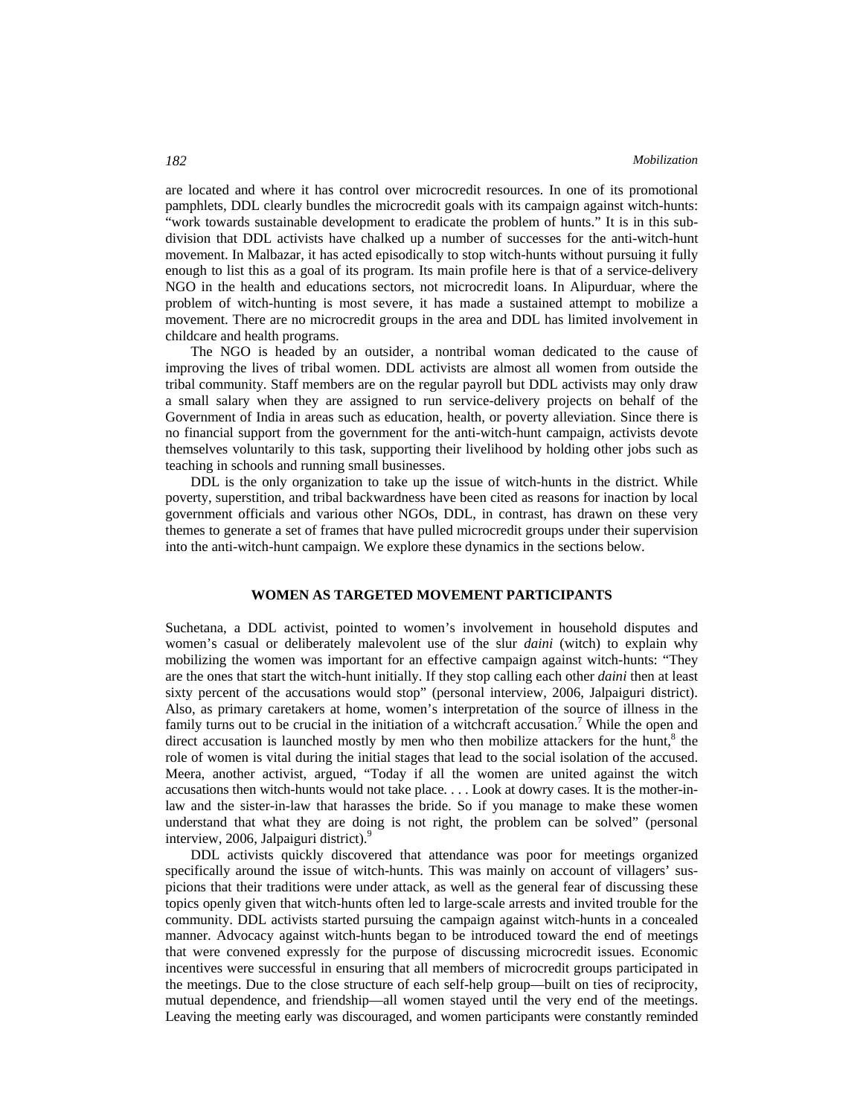are located and where it has control over microcredit resources. In one of its promotional pamphlets, DDL clearly bundles the microcredit goals with its campaign against witch-hunts: "work towards sustainable development to eradicate the problem of hunts." It is in this subdivision that DDL activists have chalked up a number of successes for the anti-witch-hunt movement. In Malbazar, it has acted episodically to stop witch-hunts without pursuing it fully enough to list this as a goal of its program. Its main profile here is that of a service-delivery NGO in the health and educations sectors, not microcredit loans. In Alipurduar, where the problem of witch-hunting is most severe, it has made a sustained attempt to mobilize a movement. There are no microcredit groups in the area and DDL has limited involvement in childcare and health programs.

The NGO is headed by an outsider, a nontribal woman dedicated to the cause of improving the lives of tribal women. DDL activists are almost all women from outside the tribal community. Staff members are on the regular payroll but DDL activists may only draw a small salary when they are assigned to run service-delivery projects on behalf of the Government of India in areas such as education, health, or poverty alleviation. Since there is no financial support from the government for the anti-witch-hunt campaign, activists devote themselves voluntarily to this task, supporting their livelihood by holding other jobs such as teaching in schools and running small businesses.

DDL is the only organization to take up the issue of witch-hunts in the district. While poverty, superstition, and tribal backwardness have been cited as reasons for inaction by local government officials and various other NGOs, DDL, in contrast, has drawn on these very themes to generate a set of frames that have pulled microcredit groups under their supervision into the anti-witch-hunt campaign. We explore these dynamics in the sections below.

# **WOMEN AS TARGETED MOVEMENT PARTICIPANTS**

Suchetana, a DDL activist, pointed to women's involvement in household disputes and women's casual or deliberately malevolent use of the slur *daini* (witch) to explain why mobilizing the women was important for an effective campaign against witch-hunts: "They are the ones that start the witch-hunt initially. If they stop calling each other *daini* then at least sixty percent of the accusations would stop" (personal interview, 2006, Jalpaiguri district). Also, as primary caretakers at home, women's interpretation of the source of illness in the family turns out to be crucial in the initiation of a witchcraft accusation.<sup>7</sup> While the open and direct accusation is launched mostly by men who then mobilize attackers for the hunt, $8$  the role of women is vital during the initial stages that lead to the social isolation of the accused. Meera, another activist, argued, "Today if all the women are united against the witch accusations then witch-hunts would not take place. . . . Look at dowry cases. It is the mother-inlaw and the sister-in-law that harasses the bride. So if you manage to make these women understand that what they are doing is not right, the problem can be solved" (personal interview, 2006, Jalpaiguri district).<sup>9</sup>

DDL activists quickly discovered that attendance was poor for meetings organized specifically around the issue of witch-hunts. This was mainly on account of villagers' suspicions that their traditions were under attack, as well as the general fear of discussing these topics openly given that witch-hunts often led to large-scale arrests and invited trouble for the community. DDL activists started pursuing the campaign against witch-hunts in a concealed manner. Advocacy against witch-hunts began to be introduced toward the end of meetings that were convened expressly for the purpose of discussing microcredit issues. Economic incentives were successful in ensuring that all members of microcredit groups participated in the meetings. Due to the close structure of each self-help group—built on ties of reciprocity, mutual dependence, and friendship—all women stayed until the very end of the meetings. Leaving the meeting early was discouraged, and women participants were constantly reminded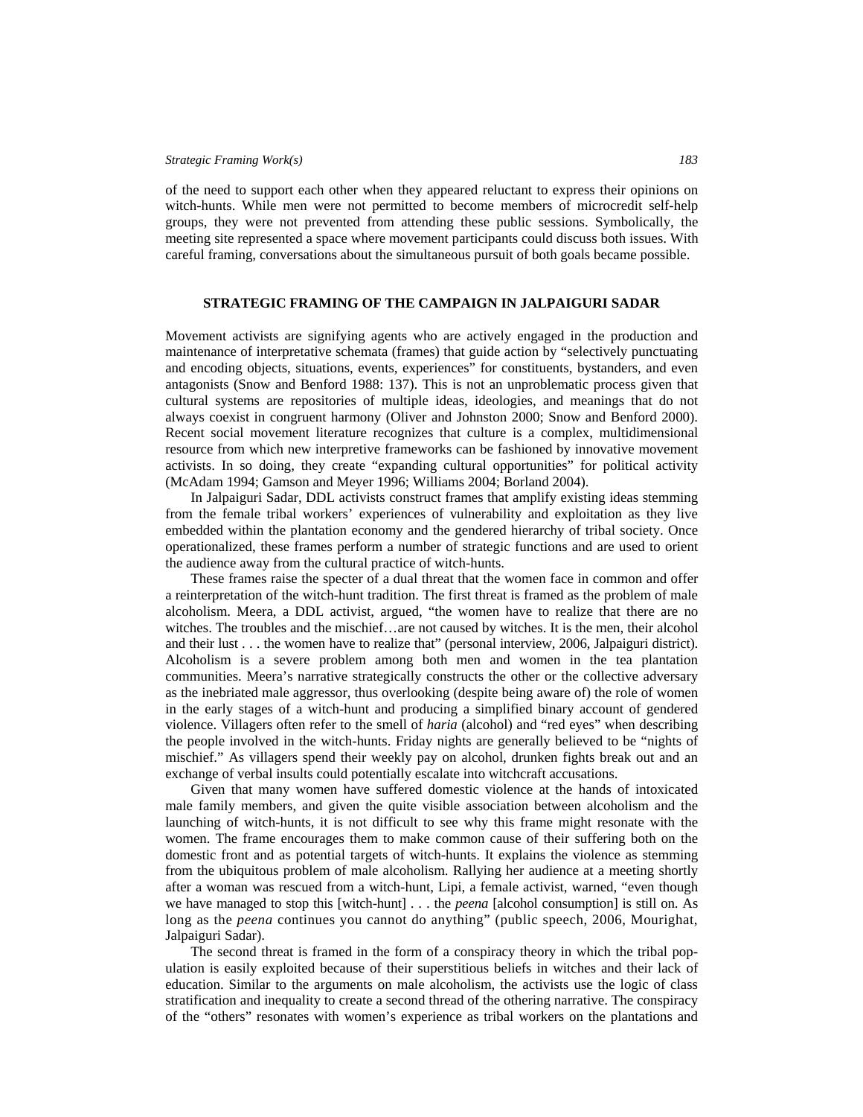of the need to support each other when they appeared reluctant to express their opinions on witch-hunts. While men were not permitted to become members of microcredit self-help groups, they were not prevented from attending these public sessions. Symbolically, the meeting site represented a space where movement participants could discuss both issues. With careful framing, conversations about the simultaneous pursuit of both goals became possible.

# **STRATEGIC FRAMING OF THE CAMPAIGN IN JALPAIGURI SADAR**

Movement activists are signifying agents who are actively engaged in the production and maintenance of interpretative schemata (frames) that guide action by "selectively punctuating and encoding objects, situations, events, experiences" for constituents, bystanders, and even antagonists (Snow and Benford 1988: 137). This is not an unproblematic process given that cultural systems are repositories of multiple ideas, ideologies, and meanings that do not always coexist in congruent harmony (Oliver and Johnston 2000; Snow and Benford 2000). Recent social movement literature recognizes that culture is a complex, multidimensional resource from which new interpretive frameworks can be fashioned by innovative movement activists. In so doing, they create "expanding cultural opportunities" for political activity (McAdam 1994; Gamson and Meyer 1996; Williams 2004; Borland 2004).

In Jalpaiguri Sadar, DDL activists construct frames that amplify existing ideas stemming from the female tribal workers' experiences of vulnerability and exploitation as they live embedded within the plantation economy and the gendered hierarchy of tribal society. Once operationalized, these frames perform a number of strategic functions and are used to orient the audience away from the cultural practice of witch-hunts.

These frames raise the specter of a dual threat that the women face in common and offer a reinterpretation of the witch-hunt tradition. The first threat is framed as the problem of male alcoholism. Meera, a DDL activist, argued, "the women have to realize that there are no witches. The troubles and the mischief...are not caused by witches. It is the men, their alcohol and their lust . . . the women have to realize that" (personal interview, 2006, Jalpaiguri district). Alcoholism is a severe problem among both men and women in the tea plantation communities. Meera's narrative strategically constructs the other or the collective adversary as the inebriated male aggressor, thus overlooking (despite being aware of) the role of women in the early stages of a witch-hunt and producing a simplified binary account of gendered violence. Villagers often refer to the smell of *haria* (alcohol) and "red eyes" when describing the people involved in the witch-hunts. Friday nights are generally believed to be "nights of mischief." As villagers spend their weekly pay on alcohol, drunken fights break out and an exchange of verbal insults could potentially escalate into witchcraft accusations.

Given that many women have suffered domestic violence at the hands of intoxicated male family members, and given the quite visible association between alcoholism and the launching of witch-hunts, it is not difficult to see why this frame might resonate with the women. The frame encourages them to make common cause of their suffering both on the domestic front and as potential targets of witch-hunts. It explains the violence as stemming from the ubiquitous problem of male alcoholism. Rallying her audience at a meeting shortly after a woman was rescued from a witch-hunt, Lipi, a female activist, warned, "even though we have managed to stop this [witch-hunt] . . . the *peena* [alcohol consumption] is still on. As long as the *peena* continues you cannot do anything" (public speech, 2006, Mourighat, Jalpaiguri Sadar).

The second threat is framed in the form of a conspiracy theory in which the tribal population is easily exploited because of their superstitious beliefs in witches and their lack of education. Similar to the arguments on male alcoholism, the activists use the logic of class stratification and inequality to create a second thread of the othering narrative. The conspiracy of the "others" resonates with women's experience as tribal workers on the plantations and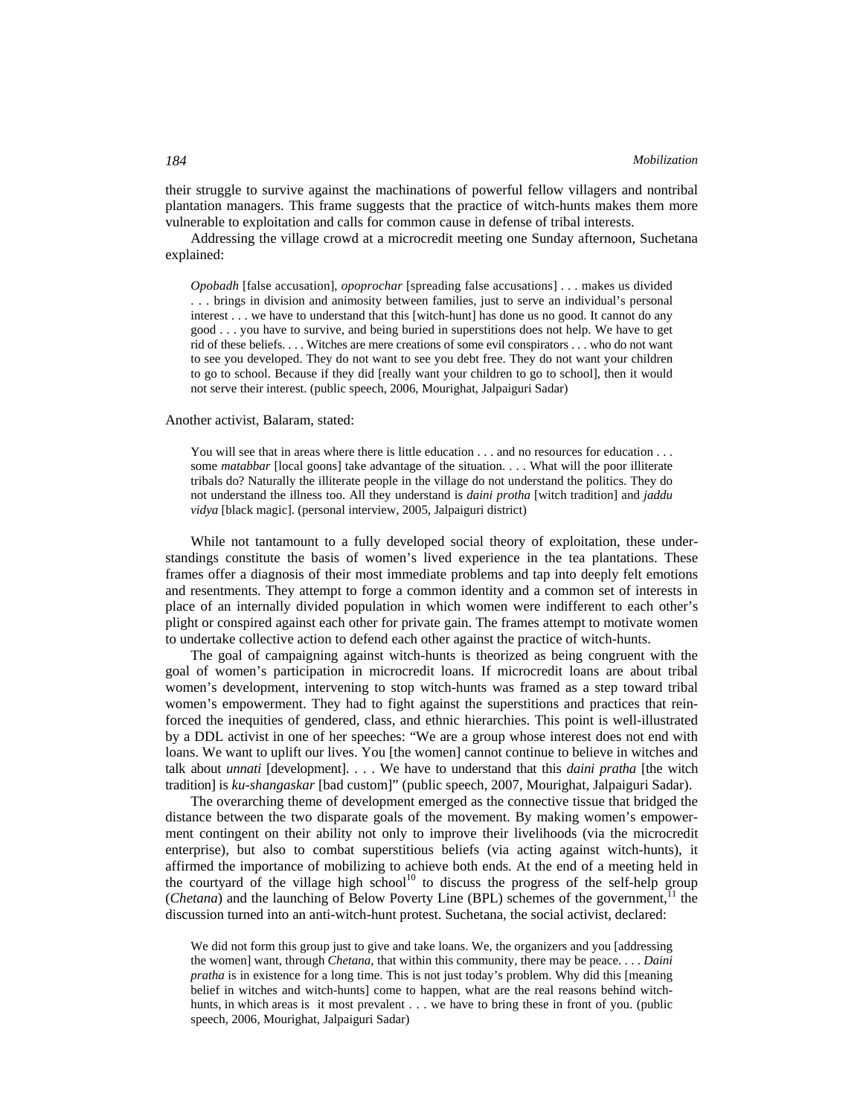their struggle to survive against the machinations of powerful fellow villagers and nontribal plantation managers. This frame suggests that the practice of witch-hunts makes them more vulnerable to exploitation and calls for common cause in defense of tribal interests.

Addressing the village crowd at a microcredit meeting one Sunday afternoon, Suchetana explained:

*Opobadh* [false accusation], *opoprochar* [spreading false accusations] . . . makes us divided . . . brings in division and animosity between families, just to serve an individual's personal interest . . . we have to understand that this [witch-hunt] has done us no good. It cannot do any good . . . you have to survive, and being buried in superstitions does not help. We have to get rid of these beliefs. . . . Witches are mere creations of some evil conspirators . . . who do not want to see you developed. They do not want to see you debt free. They do not want your children to go to school. Because if they did [really want your children to go to school], then it would not serve their interest. (public speech, 2006, Mourighat, Jalpaiguri Sadar)

# Another activist, Balaram, stated:

You will see that in areas where there is little education . . . and no resources for education . . . some *matabbar* [local goons] take advantage of the situation. . . . What will the poor illiterate tribals do? Naturally the illiterate people in the village do not understand the politics. They do not understand the illness too. All they understand is *daini protha* [witch tradition] and *jaddu vidya* [black magic]. (personal interview, 2005, Jalpaiguri district)

While not tantamount to a fully developed social theory of exploitation, these understandings constitute the basis of women's lived experience in the tea plantations. These frames offer a diagnosis of their most immediate problems and tap into deeply felt emotions and resentments. They attempt to forge a common identity and a common set of interests in place of an internally divided population in which women were indifferent to each other's plight or conspired against each other for private gain. The frames attempt to motivate women to undertake collective action to defend each other against the practice of witch-hunts.

The goal of campaigning against witch-hunts is theorized as being congruent with the goal of women's participation in microcredit loans. If microcredit loans are about tribal women's development, intervening to stop witch-hunts was framed as a step toward tribal women's empowerment. They had to fight against the superstitions and practices that reinforced the inequities of gendered, class, and ethnic hierarchies. This point is well-illustrated by a DDL activist in one of her speeches: "We are a group whose interest does not end with loans. We want to uplift our lives. You [the women] cannot continue to believe in witches and talk about *unnati* [development]. . . . We have to understand that this *daini pratha* [the witch tradition] is *ku-shangaskar* [bad custom]" (public speech, 2007, Mourighat, Jalpaiguri Sadar).

The overarching theme of development emerged as the connective tissue that bridged the distance between the two disparate goals of the movement. By making women's empowerment contingent on their ability not only to improve their livelihoods (via the microcredit enterprise), but also to combat superstitious beliefs (via acting against witch-hunts), it affirmed the importance of mobilizing to achieve both ends. At the end of a meeting held in the courtyard of the village high school<sup>10</sup> to discuss the progress of the self-help group (*Chetana*) and the launching of Below Poverty Line (BPL) schemes of the government,<sup>11</sup> the discussion turned into an anti-witch-hunt protest. Suchetana, the social activist, declared:

We did not form this group just to give and take loans. We, the organizers and you [addressing] the women] want, through *Chetana*, that within this community, there may be peace. . . . *Daini pratha* is in existence for a long time. This is not just today's problem. Why did this [meaning belief in witches and witch-hunts] come to happen, what are the real reasons behind witchhunts, in which areas is it most prevalent . . . we have to bring these in front of you. (public speech, 2006, Mourighat, Jalpaiguri Sadar)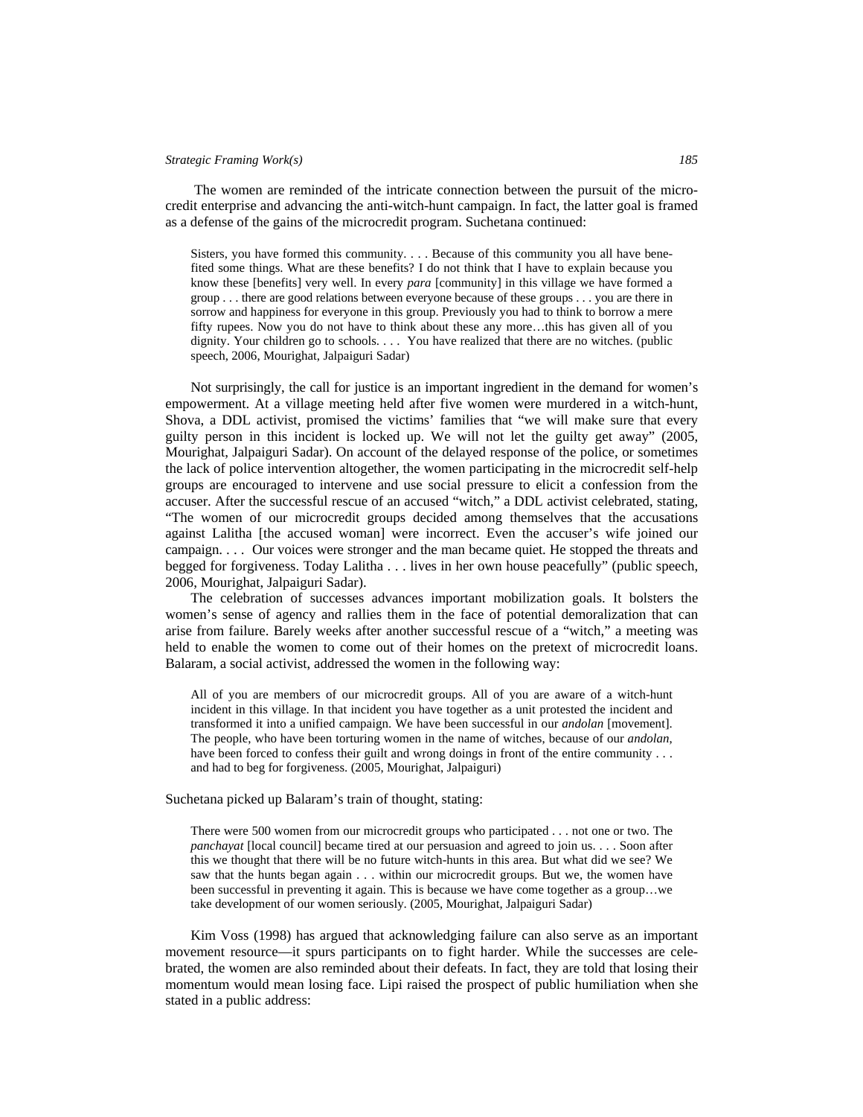The women are reminded of the intricate connection between the pursuit of the microcredit enterprise and advancing the anti-witch-hunt campaign. In fact, the latter goal is framed as a defense of the gains of the microcredit program. Suchetana continued:

Sisters, you have formed this community. . . . Because of this community you all have benefited some things. What are these benefits? I do not think that I have to explain because you know these [benefits] very well. In every *para* [community] in this village we have formed a group . . . there are good relations between everyone because of these groups . . . you are there in sorrow and happiness for everyone in this group. Previously you had to think to borrow a mere fifty rupees. Now you do not have to think about these any more…this has given all of you dignity. Your children go to schools. . . . You have realized that there are no witches. (public speech, 2006, Mourighat, Jalpaiguri Sadar)

Not surprisingly, the call for justice is an important ingredient in the demand for women's empowerment. At a village meeting held after five women were murdered in a witch-hunt, Shova, a DDL activist, promised the victims' families that "we will make sure that every guilty person in this incident is locked up. We will not let the guilty get away" (2005, Mourighat, Jalpaiguri Sadar). On account of the delayed response of the police, or sometimes the lack of police intervention altogether, the women participating in the microcredit self-help groups are encouraged to intervene and use social pressure to elicit a confession from the accuser. After the successful rescue of an accused "witch," a DDL activist celebrated, stating, "The women of our microcredit groups decided among themselves that the accusations against Lalitha [the accused woman] were incorrect. Even the accuser's wife joined our campaign. . . . Our voices were stronger and the man became quiet. He stopped the threats and begged for forgiveness. Today Lalitha . . . lives in her own house peacefully" (public speech, 2006, Mourighat, Jalpaiguri Sadar).

The celebration of successes advances important mobilization goals. It bolsters the women's sense of agency and rallies them in the face of potential demoralization that can arise from failure. Barely weeks after another successful rescue of a "witch," a meeting was held to enable the women to come out of their homes on the pretext of microcredit loans. Balaram, a social activist, addressed the women in the following way:

All of you are members of our microcredit groups. All of you are aware of a witch-hunt incident in this village. In that incident you have together as a unit protested the incident and transformed it into a unified campaign. We have been successful in our *andolan* [movement]. The people, who have been torturing women in the name of witches, because of our *andolan*, have been forced to confess their guilt and wrong doings in front of the entire community . . . and had to beg for forgiveness. (2005, Mourighat, Jalpaiguri)

# Suchetana picked up Balaram's train of thought, stating:

There were 500 women from our microcredit groups who participated . . . not one or two. The *panchayat* [local council] became tired at our persuasion and agreed to join us. . . . Soon after this we thought that there will be no future witch-hunts in this area. But what did we see? We saw that the hunts began again . . . within our microcredit groups. But we, the women have been successful in preventing it again. This is because we have come together as a group…we take development of our women seriously. (2005, Mourighat, Jalpaiguri Sadar)

Kim Voss (1998) has argued that acknowledging failure can also serve as an important movement resource—it spurs participants on to fight harder. While the successes are celebrated, the women are also reminded about their defeats. In fact, they are told that losing their momentum would mean losing face. Lipi raised the prospect of public humiliation when she stated in a public address: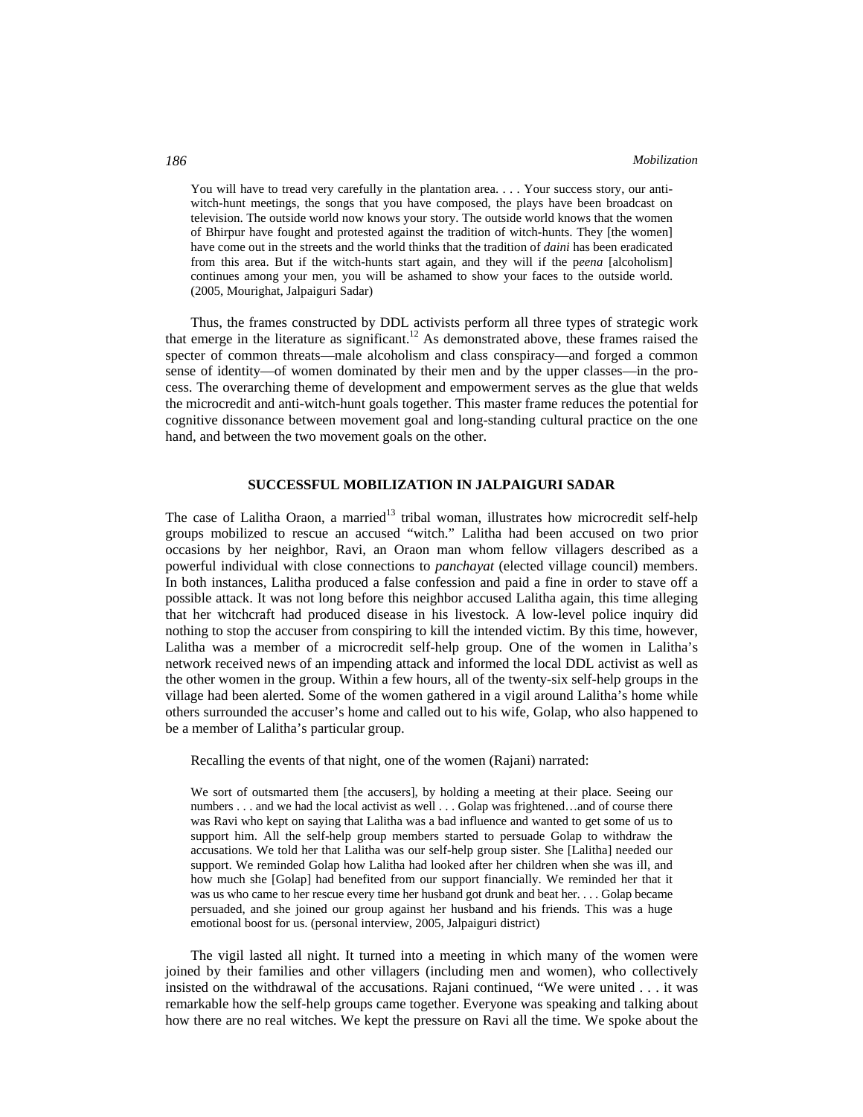You will have to tread very carefully in the plantation area. . . . Your success story, our antiwitch-hunt meetings, the songs that you have composed, the plays have been broadcast on television. The outside world now knows your story. The outside world knows that the women of Bhirpur have fought and protested against the tradition of witch-hunts. They [the women] have come out in the streets and the world thinks that the tradition of *daini* has been eradicated from this area. But if the witch-hunts start again, and they will if the p*eena* [alcoholism] continues among your men, you will be ashamed to show your faces to the outside world. (2005, Mourighat, Jalpaiguri Sadar)

Thus, the frames constructed by DDL activists perform all three types of strategic work that emerge in the literature as significant.<sup>12</sup> As demonstrated above, these frames raised the specter of common threats—male alcoholism and class conspiracy—and forged a common sense of identity—of women dominated by their men and by the upper classes—in the process. The overarching theme of development and empowerment serves as the glue that welds the microcredit and anti-witch-hunt goals together. This master frame reduces the potential for cognitive dissonance between movement goal and long-standing cultural practice on the one hand, and between the two movement goals on the other.

# **SUCCESSFUL MOBILIZATION IN JALPAIGURI SADAR**

The case of Lalitha Oraon, a married<sup>13</sup> tribal woman, illustrates how microcredit self-help groups mobilized to rescue an accused "witch." Lalitha had been accused on two prior occasions by her neighbor, Ravi, an Oraon man whom fellow villagers described as a powerful individual with close connections to *panchayat* (elected village council) members. In both instances, Lalitha produced a false confession and paid a fine in order to stave off a possible attack. It was not long before this neighbor accused Lalitha again, this time alleging that her witchcraft had produced disease in his livestock. A low-level police inquiry did nothing to stop the accuser from conspiring to kill the intended victim. By this time, however, Lalitha was a member of a microcredit self-help group. One of the women in Lalitha's network received news of an impending attack and informed the local DDL activist as well as the other women in the group. Within a few hours, all of the twenty-six self-help groups in the village had been alerted. Some of the women gathered in a vigil around Lalitha's home while others surrounded the accuser's home and called out to his wife, Golap, who also happened to be a member of Lalitha's particular group.

Recalling the events of that night, one of the women (Rajani) narrated:

We sort of outsmarted them [the accusers], by holding a meeting at their place. Seeing our numbers . . . and we had the local activist as well . . . Golap was frightened.. . and of course there was Ravi who kept on saying that Lalitha was a bad influence and wanted to get some of us to support him. All the self-help group members started to persuade Golap to withdraw the accusations. We told her that Lalitha was our self-help group sister. She [Lalitha] needed our support. We reminded Golap how Lalitha had looked after her children when she was ill, and how much she [Golap] had benefited from our support financially. We reminded her that it was us who came to her rescue every time her husband got drunk and beat her. . . . Golap became persuaded, and she joined our group against her husband and his friends. This was a huge emotional boost for us. (personal interview, 2005, Jalpaiguri district)

The vigil lasted all night. It turned into a meeting in which many of the women were joined by their families and other villagers (including men and women), who collectively insisted on the withdrawal of the accusations. Rajani continued, "We were united . . . it was remarkable how the self-help groups came together. Everyone was speaking and talking about how there are no real witches. We kept the pressure on Ravi all the time. We spoke about the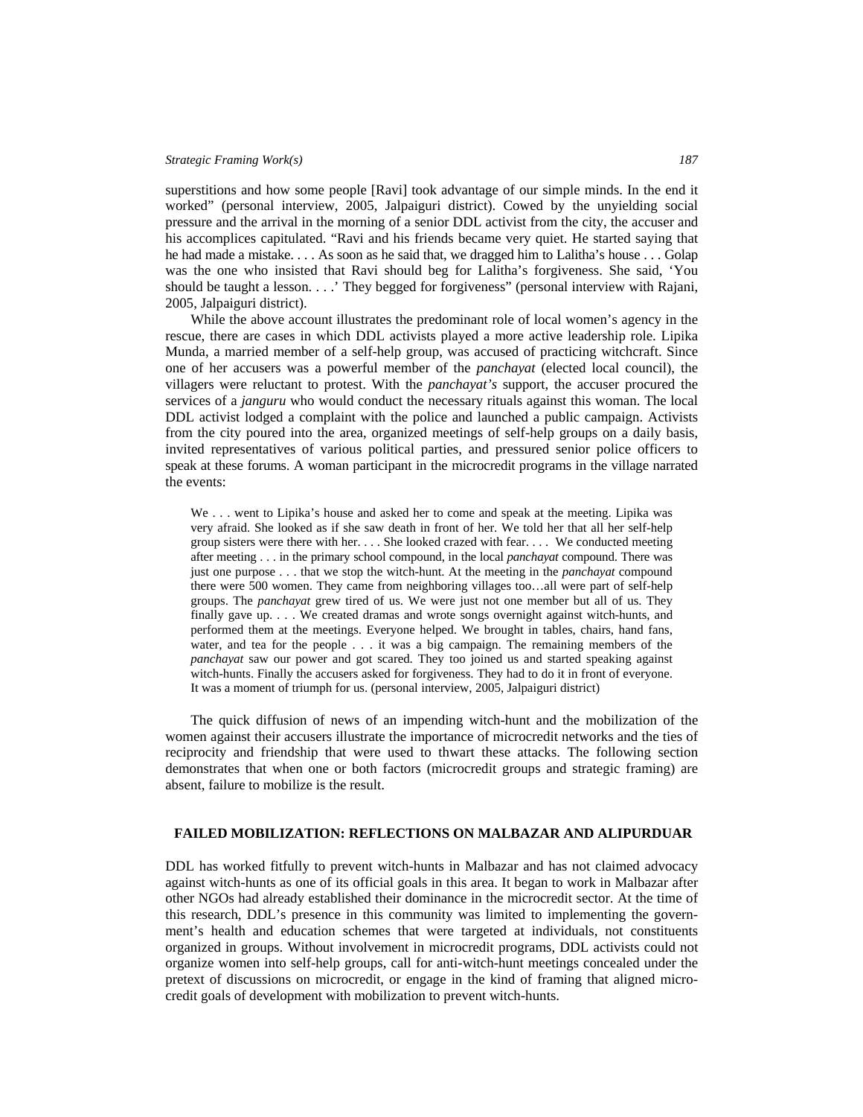superstitions and how some people [Ravi] took advantage of our simple minds. In the end it worked" (personal interview, 2005, Jalpaiguri district). Cowed by the unyielding social pressure and the arrival in the morning of a senior DDL activist from the city, the accuser and his accomplices capitulated. "Ravi and his friends became very quiet. He started saying that he had made a mistake. . . . As soon as he said that, we dragged him to Lalitha's house . . . Golap was the one who insisted that Ravi should beg for Lalitha's forgiveness. She said, 'You should be taught a lesson. . . .' They begged for forgiveness" (personal interview with Rajani, 2005, Jalpaiguri district).

While the above account illustrates the predominant role of local women's agency in the rescue, there are cases in which DDL activists played a more active leadership role. Lipika Munda, a married member of a self-help group, was accused of practicing witchcraft. Since one of her accusers was a powerful member of the *panchayat* (elected local council), the villagers were reluctant to protest. With the *panchayat's* support, the accuser procured the services of a *janguru* who would conduct the necessary rituals against this woman. The local DDL activist lodged a complaint with the police and launched a public campaign. Activists from the city poured into the area, organized meetings of self-help groups on a daily basis, invited representatives of various political parties, and pressured senior police officers to speak at these forums. A woman participant in the microcredit programs in the village narrated the events:

We . . . went to Lipika's house and asked her to come and speak at the meeting. Lipika was very afraid. She looked as if she saw death in front of her. We told her that all her self-help group sisters were there with her. . . . She looked crazed with fear. . . . We conducted meeting after meeting . . . in the primary school compound, in the local *panchayat* compound. There was just one purpose . . . that we stop the witch-hunt. At the meeting in the *panchayat* compound there were 500 women. They came from neighboring villages too…all were part of self-help groups. The *panchayat* grew tired of us. We were just not one member but all of us. They finally gave up. . . . We created dramas and wrote songs overnight against witch-hunts, and performed them at the meetings. Everyone helped. We brought in tables, chairs, hand fans, water, and tea for the people . . . it was a big campaign. The remaining members of the *panchayat* saw our power and got scared. They too joined us and started speaking against witch-hunts. Finally the accusers asked for forgiveness. They had to do it in front of everyone. It was a moment of triumph for us. (personal interview, 2005, Jalpaiguri district)

The quick diffusion of news of an impending witch-hunt and the mobilization of the women against their accusers illustrate the importance of microcredit networks and the ties of reciprocity and friendship that were used to thwart these attacks. The following section demonstrates that when one or both factors (microcredit groups and strategic framing) are absent, failure to mobilize is the result.

# **FAILED MOBILIZATION: REFLECTIONS ON MALBAZAR AND ALIPURDUAR**

DDL has worked fitfully to prevent witch-hunts in Malbazar and has not claimed advocacy against witch-hunts as one of its official goals in this area. It began to work in Malbazar after other NGOs had already established their dominance in the microcredit sector. At the time of this research, DDL's presence in this community was limited to implementing the government's health and education schemes that were targeted at individuals, not constituents organized in groups. Without involvement in microcredit programs, DDL activists could not organize women into self-help groups, call for anti-witch-hunt meetings concealed under the pretext of discussions on microcredit, or engage in the kind of framing that aligned microcredit goals of development with mobilization to prevent witch-hunts.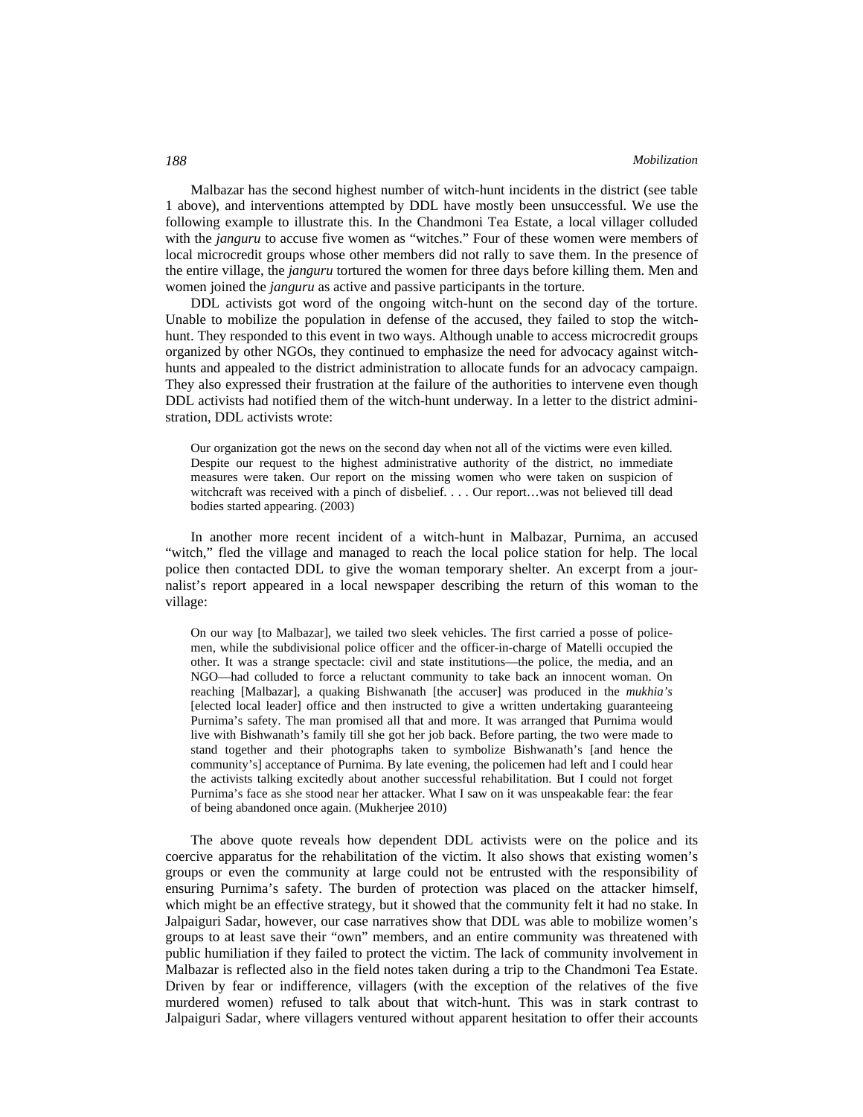Malbazar has the second highest number of witch-hunt incidents in the district (see table 1 above), and interventions attempted by DDL have mostly been unsuccessful. We use the following example to illustrate this. In the Chandmoni Tea Estate, a local villager colluded with the *janguru* to accuse five women as "witches." Four of these women were members of local microcredit groups whose other members did not rally to save them. In the presence of the entire village, the *janguru* tortured the women for three days before killing them. Men and women joined the *janguru* as active and passive participants in the torture.

DDL activists got word of the ongoing witch-hunt on the second day of the torture. Unable to mobilize the population in defense of the accused, they failed to stop the witchhunt. They responded to this event in two ways. Although unable to access microcredit groups organized by other NGOs, they continued to emphasize the need for advocacy against witchhunts and appealed to the district administration to allocate funds for an advocacy campaign. They also expressed their frustration at the failure of the authorities to intervene even though DDL activists had notified them of the witch-hunt underway. In a letter to the district administration, DDL activists wrote:

Our organization got the news on the second day when not all of the victims were even killed. Despite our request to the highest administrative authority of the district, no immediate measures were taken. Our report on the missing women who were taken on suspicion of witchcraft was received with a pinch of disbelief. . . . Our report...was not believed till dead bodies started appearing. (2003)

In another more recent incident of a witch-hunt in Malbazar, Purnima, an accused "witch," fled the village and managed to reach the local police station for help. The local police then contacted DDL to give the woman temporary shelter. An excerpt from a journalist's report appeared in a local newspaper describing the return of this woman to the village:

On our way [to Malbazar], we tailed two sleek vehicles. The first carried a posse of policemen, while the subdivisional police officer and the officer-in-charge of Matelli occupied the other. It was a strange spectacle: civil and state institutions—the police, the media, and an NGO—had colluded to force a reluctant community to take back an innocent woman. On reaching [Malbazar], a quaking Bishwanath [the accuser] was produced in the *mukhia's* [elected local leader] office and then instructed to give a written undertaking guaranteeing Purnima's safety. The man promised all that and more. It was arranged that Purnima would live with Bishwanath's family till she got her job back. Before parting, the two were made to stand together and their photographs taken to symbolize Bishwanath's [and hence the community's] acceptance of Purnima. By late evening, the policemen had left and I could hear the activists talking excitedly about another successful rehabilitation. But I could not forget Purnima's face as she stood near her attacker. What I saw on it was unspeakable fear: the fear of being abandoned once again. (Mukherjee 2010)

The above quote reveals how dependent DDL activists were on the police and its coercive apparatus for the rehabilitation of the victim. It also shows that existing women's groups or even the community at large could not be entrusted with the responsibility of ensuring Purnima's safety. The burden of protection was placed on the attacker himself, which might be an effective strategy, but it showed that the community felt it had no stake. In Jalpaiguri Sadar, however, our case narratives show that DDL was able to mobilize women's groups to at least save their "own" members, and an entire community was threatened with public humiliation if they failed to protect the victim. The lack of community involvement in Malbazar is reflected also in the field notes taken during a trip to the Chandmoni Tea Estate. Driven by fear or indifference, villagers (with the exception of the relatives of the five murdered women) refused to talk about that witch-hunt. This was in stark contrast to Jalpaiguri Sadar, where villagers ventured without apparent hesitation to offer their accounts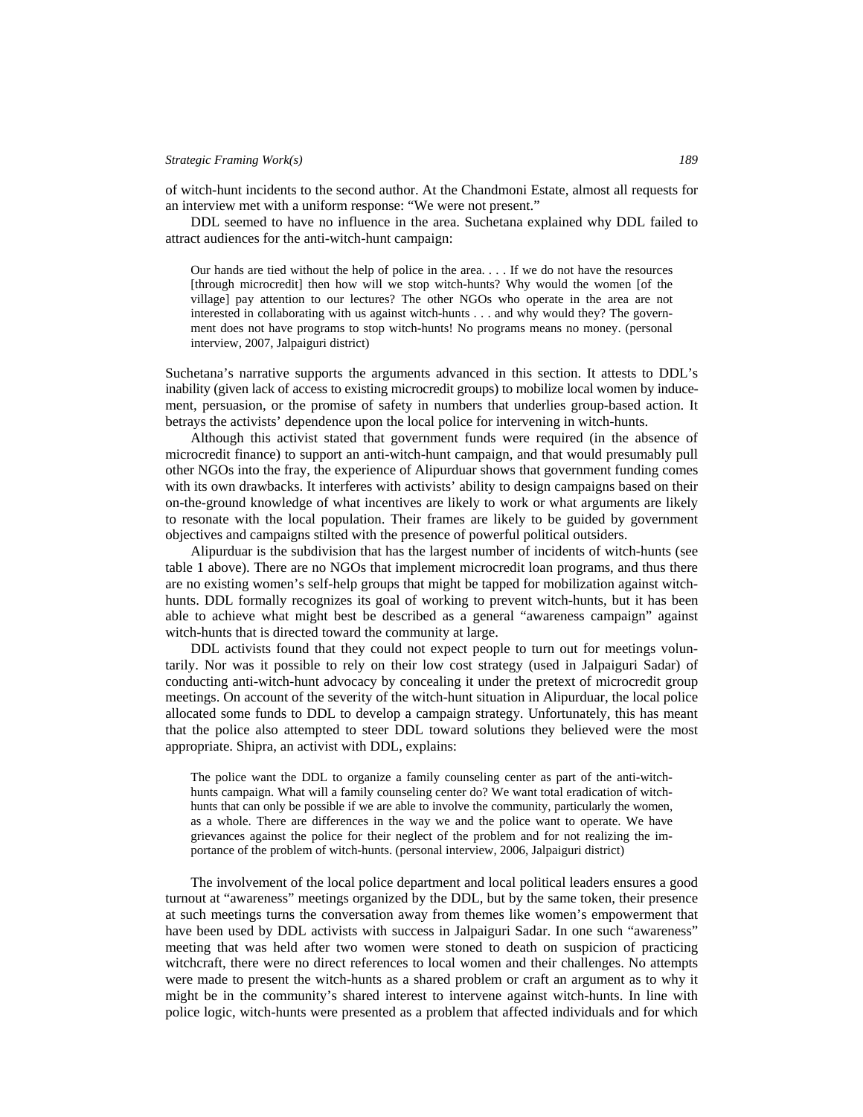of witch-hunt incidents to the second author. At the Chandmoni Estate, almost all requests for an interview met with a uniform response: "We were not present."

DDL seemed to have no influence in the area. Suchetana explained why DDL failed to attract audiences for the anti-witch-hunt campaign:

Our hands are tied without the help of police in the area. . . . If we do not have the resources [through microcredit] then how will we stop witch-hunts? Why would the women [of the village] pay attention to our lectures? The other NGOs who operate in the area are not interested in collaborating with us against witch-hunts . . . and why would they? The government does not have programs to stop witch-hunts! No programs means no money. (personal interview, 2007, Jalpaiguri district)

Suchetana's narrative supports the arguments advanced in this section. It attests to DDL's inability (given lack of access to existing microcredit groups) to mobilize local women by inducement, persuasion, or the promise of safety in numbers that underlies group-based action. It betrays the activists' dependence upon the local police for intervening in witch-hunts.

Although this activist stated that government funds were required (in the absence of microcredit finance) to support an anti-witch-hunt campaign, and that would presumably pull other NGOs into the fray, the experience of Alipurduar shows that government funding comes with its own drawbacks. It interferes with activists' ability to design campaigns based on their on-the-ground knowledge of what incentives are likely to work or what arguments are likely to resonate with the local population. Their frames are likely to be guided by government objectives and campaigns stilted with the presence of powerful political outsiders.

Alipurduar is the subdivision that has the largest number of incidents of witch-hunts (see table 1 above). There are no NGOs that implement microcredit loan programs, and thus there are no existing women's self-help groups that might be tapped for mobilization against witchhunts. DDL formally recognizes its goal of working to prevent witch-hunts, but it has been able to achieve what might best be described as a general "awareness campaign" against witch-hunts that is directed toward the community at large.

DDL activists found that they could not expect people to turn out for meetings voluntarily. Nor was it possible to rely on their low cost strategy (used in Jalpaiguri Sadar) of conducting anti-witch-hunt advocacy by concealing it under the pretext of microcredit group meetings. On account of the severity of the witch-hunt situation in Alipurduar, the local police allocated some funds to DDL to develop a campaign strategy. Unfortunately, this has meant that the police also attempted to steer DDL toward solutions they believed were the most appropriate. Shipra, an activist with DDL, explains:

The police want the DDL to organize a family counseling center as part of the anti-witchhunts campaign. What will a family counseling center do? We want total eradication of witchhunts that can only be possible if we are able to involve the community, particularly the women, as a whole. There are differences in the way we and the police want to operate. We have grievances against the police for their neglect of the problem and for not realizing the importance of the problem of witch-hunts. (personal interview, 2006, Jalpaiguri district)

The involvement of the local police department and local political leaders ensures a good turnout at "awareness" meetings organized by the DDL, but by the same token, their presence at such meetings turns the conversation away from themes like women's empowerment that have been used by DDL activists with success in Jalpaiguri Sadar. In one such "awareness" meeting that was held after two women were stoned to death on suspicion of practicing witchcraft, there were no direct references to local women and their challenges. No attempts were made to present the witch-hunts as a shared problem or craft an argument as to why it might be in the community's shared interest to intervene against witch-hunts. In line with police logic, witch-hunts were presented as a problem that affected individuals and for which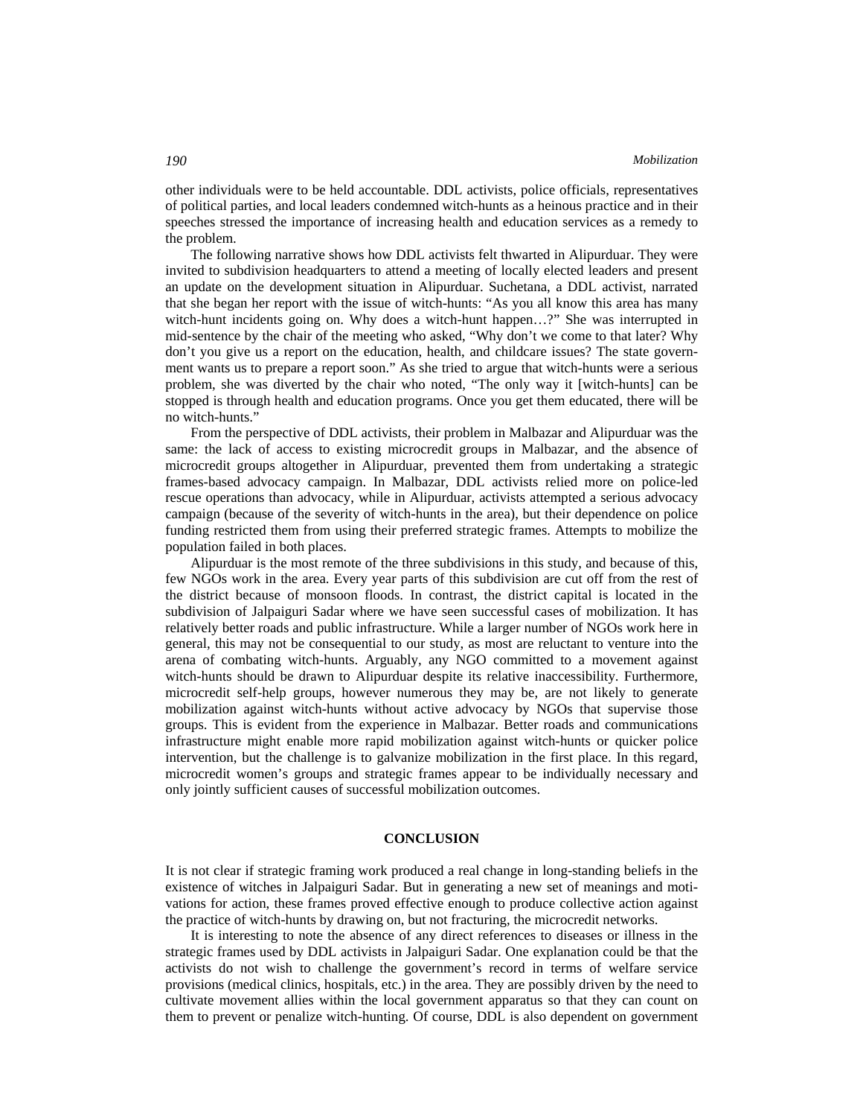other individuals were to be held accountable. DDL activists, police officials, representatives of political parties, and local leaders condemned witch-hunts as a heinous practice and in their speeches stressed the importance of increasing health and education services as a remedy to the problem.

The following narrative shows how DDL activists felt thwarted in Alipurduar. They were invited to subdivision headquarters to attend a meeting of locally elected leaders and present an update on the development situation in Alipurduar. Suchetana, a DDL activist, narrated that she began her report with the issue of witch-hunts: "As you all know this area has many witch-hunt incidents going on. Why does a witch-hunt happen...?" She was interrupted in mid-sentence by the chair of the meeting who asked, "Why don't we come to that later? Why don't you give us a report on the education, health, and childcare issues? The state government wants us to prepare a report soon." As she tried to argue that witch-hunts were a serious problem, she was diverted by the chair who noted, "The only way it [witch-hunts] can be stopped is through health and education programs. Once you get them educated, there will be no witch-hunts."

From the perspective of DDL activists, their problem in Malbazar and Alipurduar was the same: the lack of access to existing microcredit groups in Malbazar, and the absence of microcredit groups altogether in Alipurduar, prevented them from undertaking a strategic frames-based advocacy campaign. In Malbazar, DDL activists relied more on police-led rescue operations than advocacy, while in Alipurduar, activists attempted a serious advocacy campaign (because of the severity of witch-hunts in the area), but their dependence on police funding restricted them from using their preferred strategic frames. Attempts to mobilize the population failed in both places.

Alipurduar is the most remote of the three subdivisions in this study, and because of this, few NGOs work in the area. Every year parts of this subdivision are cut off from the rest of the district because of monsoon floods. In contrast, the district capital is located in the subdivision of Jalpaiguri Sadar where we have seen successful cases of mobilization. It has relatively better roads and public infrastructure. While a larger number of NGOs work here in general, this may not be consequential to our study, as most are reluctant to venture into the arena of combating witch-hunts. Arguably, any NGO committed to a movement against witch-hunts should be drawn to Alipurduar despite its relative inaccessibility. Furthermore, microcredit self-help groups, however numerous they may be, are not likely to generate mobilization against witch-hunts without active advocacy by NGOs that supervise those groups. This is evident from the experience in Malbazar. Better roads and communications infrastructure might enable more rapid mobilization against witch-hunts or quicker police intervention, but the challenge is to galvanize mobilization in the first place. In this regard, microcredit women's groups and strategic frames appear to be individually necessary and only jointly sufficient causes of successful mobilization outcomes.

# **CONCLUSION**

It is not clear if strategic framing work produced a real change in long-standing beliefs in the existence of witches in Jalpaiguri Sadar. But in generating a new set of meanings and motivations for action, these frames proved effective enough to produce collective action against the practice of witch-hunts by drawing on, but not fracturing, the microcredit networks.

It is interesting to note the absence of any direct references to diseases or illness in the strategic frames used by DDL activists in Jalpaiguri Sadar. One explanation could be that the activists do not wish to challenge the government's record in terms of welfare service provisions (medical clinics, hospitals, etc.) in the area. They are possibly driven by the need to cultivate movement allies within the local government apparatus so that they can count on them to prevent or penalize witch-hunting. Of course, DDL is also dependent on government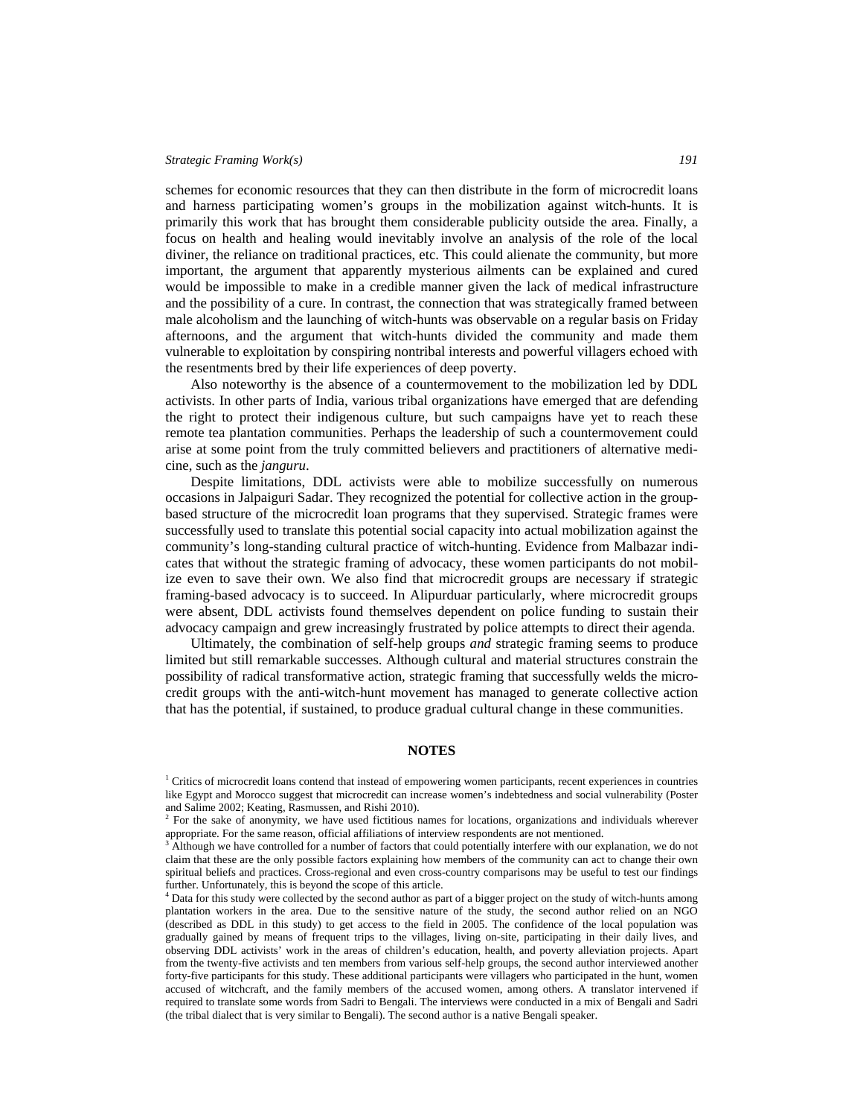schemes for economic resources that they can then distribute in the form of microcredit loans and harness participating women's groups in the mobilization against witch-hunts. It is primarily this work that has brought them considerable publicity outside the area. Finally, a focus on health and healing would inevitably involve an analysis of the role of the local diviner, the reliance on traditional practices, etc. This could alienate the community, but more important, the argument that apparently mysterious ailments can be explained and cured would be impossible to make in a credible manner given the lack of medical infrastructure and the possibility of a cure. In contrast, the connection that was strategically framed between male alcoholism and the launching of witch-hunts was observable on a regular basis on Friday afternoons, and the argument that witch-hunts divided the community and made them vulnerable to exploitation by conspiring nontribal interests and powerful villagers echoed with the resentments bred by their life experiences of deep poverty.

Also noteworthy is the absence of a countermovement to the mobilization led by DDL activists. In other parts of India, various tribal organizations have emerged that are defending the right to protect their indigenous culture, but such campaigns have yet to reach these remote tea plantation communities. Perhaps the leadership of such a countermovement could arise at some point from the truly committed believers and practitioners of alternative medicine, such as the *janguru*.

Despite limitations, DDL activists were able to mobilize successfully on numerous occasions in Jalpaiguri Sadar. They recognized the potential for collective action in the groupbased structure of the microcredit loan programs that they supervised. Strategic frames were successfully used to translate this potential social capacity into actual mobilization against the community's long-standing cultural practice of witch-hunting. Evidence from Malbazar indicates that without the strategic framing of advocacy, these women participants do not mobilize even to save their own. We also find that microcredit groups are necessary if strategic framing-based advocacy is to succeed. In Alipurduar particularly, where microcredit groups were absent, DDL activists found themselves dependent on police funding to sustain their advocacy campaign and grew increasingly frustrated by police attempts to direct their agenda.

Ultimately, the combination of self-help groups *and* strategic framing seems to produce limited but still remarkable successes. Although cultural and material structures constrain the possibility of radical transformative action, strategic framing that successfully welds the microcredit groups with the anti-witch-hunt movement has managed to generate collective action that has the potential, if sustained, to produce gradual cultural change in these communities.

# **NOTES**

<sup>&</sup>lt;sup>1</sup> Critics of microcredit loans contend that instead of empowering women participants, recent experiences in countries like Egypt and Morocco suggest that microcredit can increase women's indebtedness and social vulnerability (Poster and Salime 2002; Keating, Rasmussen, and Rishi 2010). 2

<sup>&</sup>lt;sup>2</sup> For the sake of anonymity, we have used fictitious names for locations, organizations and individuals wherever appropriate. For the same reason, official affiliations of interview respondents are not mentioned.

Although we have controlled for a number of factors that could potentially interfere with our explanation, we do not claim that these are the only possible factors explaining how members of the community can act to change their own spiritual beliefs and practices. Cross-regional and even cross-country comparisons may be useful to test our findings further. Unfortunately, this is beyond the scope of this article.

<sup>&</sup>lt;sup>4</sup> Data for this study were collected by the second author as part of a bigger project on the study of witch-hunts among plantation workers in the area. Due to the sensitive nature of the study, the second author relied on an NGO (described as DDL in this study) to get access to the field in 2005. The confidence of the local population was gradually gained by means of frequent trips to the villages, living on-site, participating in their daily lives, and observing DDL activists' work in the areas of children's education, health, and poverty alleviation projects. Apart from the twenty-five activists and ten members from various self-help groups, the second author interviewed another forty-five participants for this study. These additional participants were villagers who participated in the hunt, women accused of witchcraft, and the family members of the accused women, among others. A translator intervened if required to translate some words from Sadri to Bengali. The interviews were conducted in a mix of Bengali and Sadri (the tribal dialect that is very similar to Bengali). The second author is a native Bengali speaker.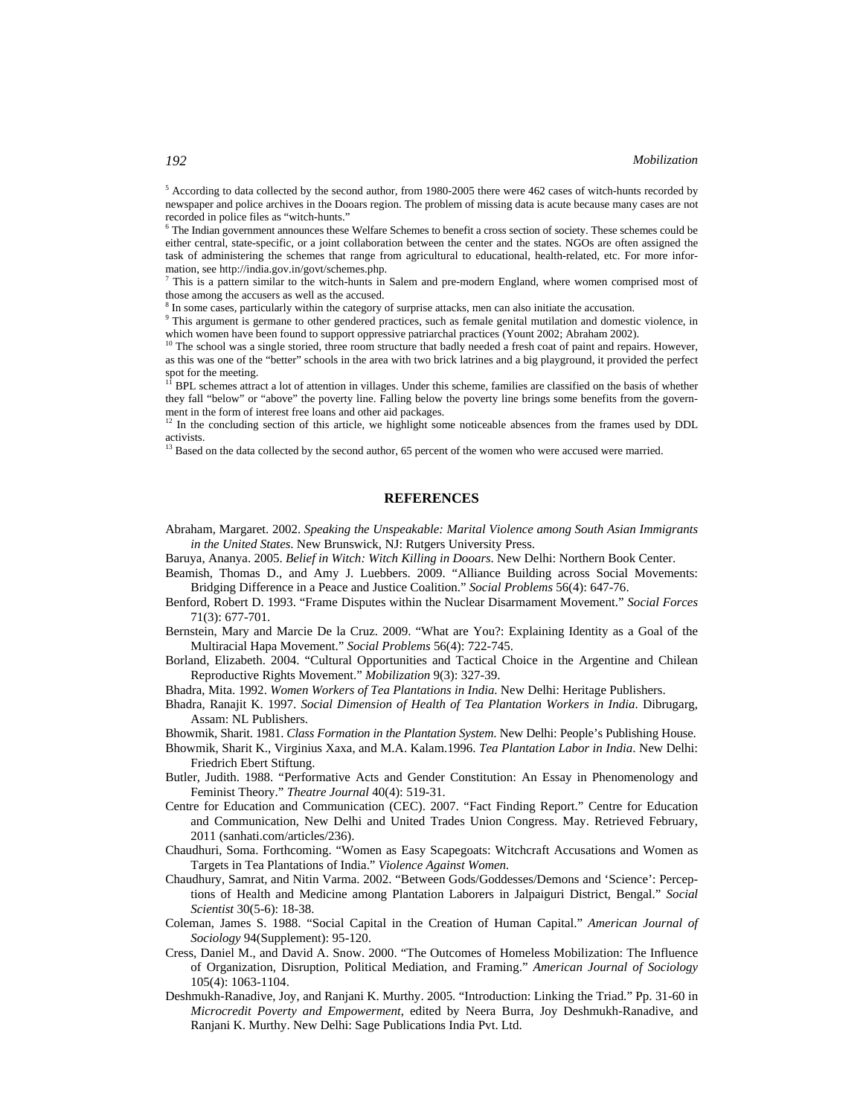<sup>5</sup> According to data collected by the second author, from 1980-2005 there were 462 cases of witch-hunts recorded by newspaper and police archives in the Dooars region. The problem of missing data is acute because many cases are not recorded in police files as "witch-hunts."

<sup>6</sup> The Indian government announces these Welfare Schemes to benefit a cross section of society. These schemes could be either central, state-specific, or a joint collaboration between the center and the states. NGOs are often assigned the task of administering the schemes that range from agricultural to educational, health-related, etc. For more information, see http://india.gov.in/govt/schemes.php. 7

<sup>7</sup> This is a pattern similar to the witch-hunts in Salem and pre-modern England, where women comprised most of those among the accusers as well as the accused.

<sup>8</sup> In some cases, particularly within the category of surprise attacks, men can also initiate the accusation.

 $9$  This argument is germane to other gendered practices, such as female genital mutilation and domestic violence, in which women have been found to support oppressive patriarchal practices (Yount 2002; Abraham 2002). <sup>10</sup> The school was a single storied, three room structure that badly needed a fresh coat of paint and repairs. However,

as this was one of the "better" schools in the area with two brick latrines and a big playground, it provided the perfect spot for the meeting.

11 BPL schemes attract a lot of attention in villages. Under this scheme, families are classified on the basis of whether they fall "below" or "above" the poverty line. Falling below the poverty line brings some benefits from the government in the form of interest free loans and other aid packages.<br><sup>12</sup> In the concluding section of the state of the section of the state of the section of the state of the section of the state of the section of the section

12 In the concluding section of this article, we highlight some noticeable absences from the frames used by DDL activists.

<sup>13</sup> Based on the data collected by the second author, 65 percent of the women who were accused were married.

# **REFERENCES**

- Abraham, Margaret. 2002. *Speaking the Unspeakable: Marital Violence among South Asian Immigrants in the United States*. New Brunswick, NJ: Rutgers University Press.
- Baruya, Ananya. 2005. *Belief in Witch: Witch Killing in Dooars*. New Delhi: Northern Book Center.
- Beamish, Thomas D., and Amy J. Luebbers. 2009. "Alliance Building across Social Movements: Bridging Difference in a Peace and Justice Coalition." *Social Problems* 56(4): 647-76.
- Benford, Robert D. 1993. "Frame Disputes within the Nuclear Disarmament Movement." *Social Forces* 71(3): 677-701.
- Bernstein, Mary and Marcie De la Cruz. 2009. "What are You?: Explaining Identity as a Goal of the Multiracial Hapa Movement." *Social Problems* 56(4): 722-745.
- Borland, Elizabeth. 2004. "Cultural Opportunities and Tactical Choice in the Argentine and Chilean Reproductive Rights Movement." *Mobilization* 9(3): 327-39.

Bhadra, Mita. 1992. *Women Workers of Tea Plantations in India*. New Delhi: Heritage Publishers.

Bhadra, Ranajit K. 1997. *Social Dimension of Health of Tea Plantation Workers in India*. Dibrugarg, Assam: NL Publishers.

Bhowmik, Sharit. 1981. *Class Formation in the Plantation System*. New Delhi: People's Publishing House.

- Bhowmik, Sharit K., Virginius Xaxa, and M.A. Kalam.1996. *Tea Plantation Labor in India*. New Delhi: Friedrich Ebert Stiftung.
- Butler, Judith. 1988. "Performative Acts and Gender Constitution: An Essay in Phenomenology and Feminist Theory." *Theatre Journal* 40(4): 519-31.
- Centre for Education and Communication (CEC). 2007. "Fact Finding Report." Centre for Education and Communication, New Delhi and United Trades Union Congress. May. Retrieved February, 2011 (sanhati.com/articles/236).
- Chaudhuri, Soma. Forthcoming. "Women as Easy Scapegoats: Witchcraft Accusations and Women as Targets in Tea Plantations of India." *Violence Against Women.*
- Chaudhury, Samrat, and Nitin Varma. 2002. "Between Gods/Goddesses/Demons and 'Science': Perceptions of Health and Medicine among Plantation Laborers in Jalpaiguri District, Bengal." *Social Scientist* 30(5-6): 18-38.
- Coleman, James S. 1988. "Social Capital in the Creation of Human Capital." *American Journal of Sociology* 94(Supplement): 95-120.
- Cress, Daniel M., and David A. Snow. 2000. "The Outcomes of Homeless Mobilization: The Influence of Organization, Disruption, Political Mediation, and Framing." *American Journal of Sociology* 105(4): 1063-1104.
- Deshmukh-Ranadive, Joy, and Ranjani K. Murthy. 2005. "Introduction: Linking the Triad." Pp. 31-60 in *Microcredit Poverty and Empowerment*, edited by Neera Burra, Joy Deshmukh-Ranadive, and Ranjani K. Murthy. New Delhi: Sage Publications India Pvt. Ltd.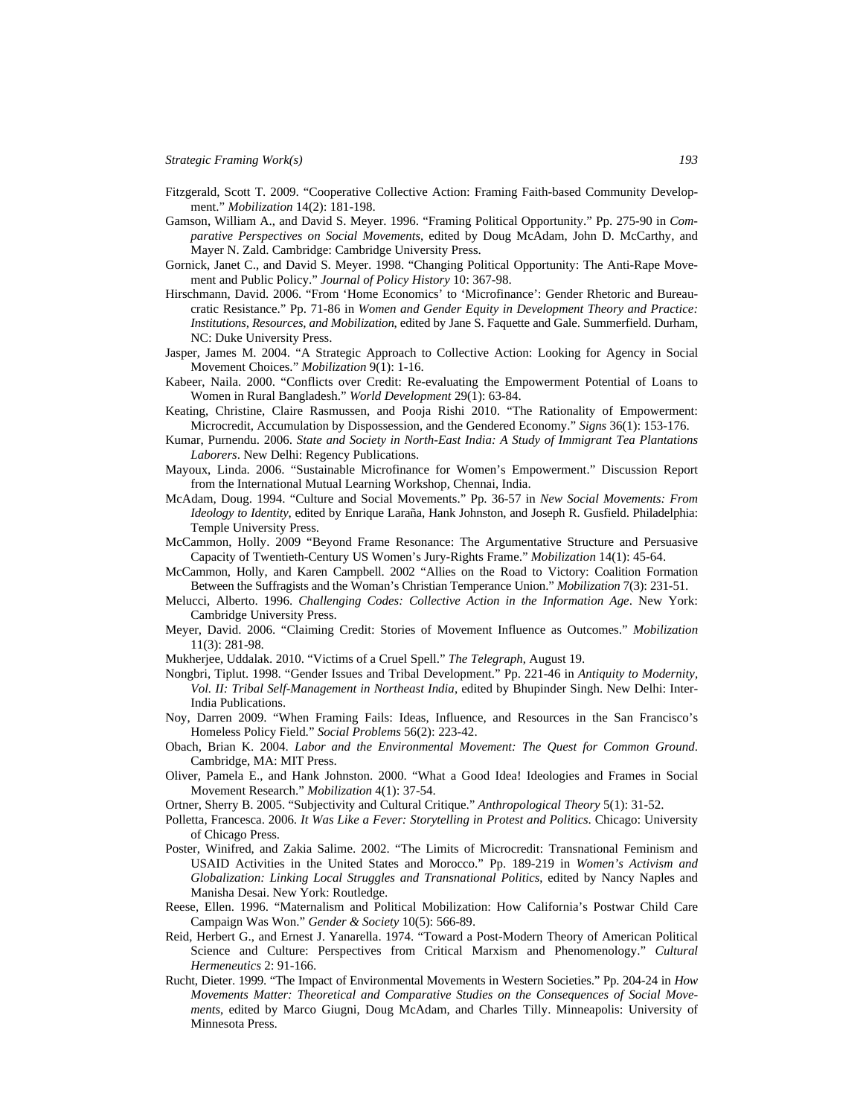- Fitzgerald, Scott T. 2009. "Cooperative Collective Action: Framing Faith-based Community Development." *Mobilization* 14(2): 181-198.
- Gamson, William A., and David S. Meyer. 1996. "Framing Political Opportunity." Pp. 275-90 in *Comparative Perspectives on Social Movements*, edited by Doug McAdam, John D. McCarthy, and Mayer N. Zald. Cambridge: Cambridge University Press.
- Gornick, Janet C., and David S. Meyer. 1998. "Changing Political Opportunity: The Anti-Rape Movement and Public Policy." *Journal of Policy History* 10: 367-98.
- Hirschmann, David. 2006. "From 'Home Economics' to 'Microfinance': Gender Rhetoric and Bureaucratic Resistance." Pp. 71-86 in *Women and Gender Equity in Development Theory and Practice: Institutions, Resources, and Mobilization*, edited by Jane S. Faquette and Gale. Summerfield. Durham, NC: Duke University Press.
- Jasper, James M. 2004. "A Strategic Approach to Collective Action: Looking for Agency in Social Movement Choices." *Mobilization* 9(1): 1-16.
- Kabeer, Naila. 2000. "Conflicts over Credit: Re-evaluating the Empowerment Potential of Loans to Women in Rural Bangladesh." *World Development* 29(1): 63-84.
- Keating, Christine, Claire Rasmussen, and Pooja Rishi 2010. "The Rationality of Empowerment: Microcredit, Accumulation by Dispossession, and the Gendered Economy." *Signs* 36(1): 153-176.
- Kumar, Purnendu. 2006. *State and Society in North-East India: A Study of Immigrant Tea Plantations Laborers*. New Delhi: Regency Publications.
- Mayoux, Linda. 2006. "Sustainable Microfinance for Women's Empowerment." Discussion Report from the International Mutual Learning Workshop, Chennai, India.
- McAdam, Doug. 1994. "Culture and Social Movements." Pp. 36-57 in *New Social Movements: From Ideology to Identity*, edited by Enrique Laraña, Hank Johnston, and Joseph R. Gusfield. Philadelphia: Temple University Press.
- McCammon, Holly. 2009 "Beyond Frame Resonance: The Argumentative Structure and Persuasive Capacity of Twentieth-Century US Women's Jury-Rights Frame." *Mobilization* 14(1): 45-64.
- McCammon, Holly, and Karen Campbell. 2002 "Allies on the Road to Victory: Coalition Formation Between the Suffragists and the Woman's Christian Temperance Union." *Mobilization* 7(3): 231-51.
- Melucci, Alberto. 1996. *Challenging Codes: Collective Action in the Information Age*. New York: Cambridge University Press.
- Meyer, David. 2006. "Claiming Credit: Stories of Movement Influence as Outcomes." *Mobilization* 11(3): 281-98.
- Mukherjee, Uddalak. 2010. "Victims of a Cruel Spell." *The Telegraph*, August 19.
- Nongbri, Tiplut. 1998. "Gender Issues and Tribal Development." Pp. 221-46 in *Antiquity to Modernity, Vol. II: Tribal Self-Management in Northeast India*, edited by Bhupinder Singh. New Delhi: Inter-India Publications.
- Noy, Darren 2009. "When Framing Fails: Ideas, Influence, and Resources in the San Francisco's Homeless Policy Field." *Social Problems* 56(2): 223-42.
- Obach, Brian K. 2004. *Labor and the Environmental Movement: The Quest for Common Ground*. Cambridge, MA: MIT Press.
- Oliver, Pamela E., and Hank Johnston. 2000. "What a Good Idea! Ideologies and Frames in Social Movement Research." *Mobilization* 4(1): 37-54.
- Ortner, Sherry B. 2005. "Subjectivity and Cultural Critique." *Anthropological Theory* 5(1): 31-52.
- Polletta, Francesca. 2006. *It Was Like a Fever: Storytelling in Protest and Politics*. Chicago: University of Chicago Press.
- Poster, Winifred, and Zakia Salime. 2002. "The Limits of Microcredit: Transnational Feminism and USAID Activities in the United States and Morocco." Pp. 189-219 in *Women's Activism and Globalization: Linking Local Struggles and Transnational Politics*, edited by Nancy Naples and Manisha Desai. New York: Routledge.
- Reese, Ellen. 1996. "Maternalism and Political Mobilization: How California's Postwar Child Care Campaign Was Won." *Gender & Society* 10(5): 566-89.
- Reid, Herbert G., and Ernest J. Yanarella. 1974. "Toward a Post-Modern Theory of American Political Science and Culture: Perspectives from Critical Marxism and Phenomenology." *Cultural Hermeneutics* 2: 91-166.
- Rucht, Dieter. 1999. "The Impact of Environmental Movements in Western Societies." Pp. 204-24 in *How Movements Matter: Theoretical and Comparative Studies on the Consequences of Social Movements*, edited by Marco Giugni, Doug McAdam, and Charles Tilly. Minneapolis: University of Minnesota Press.